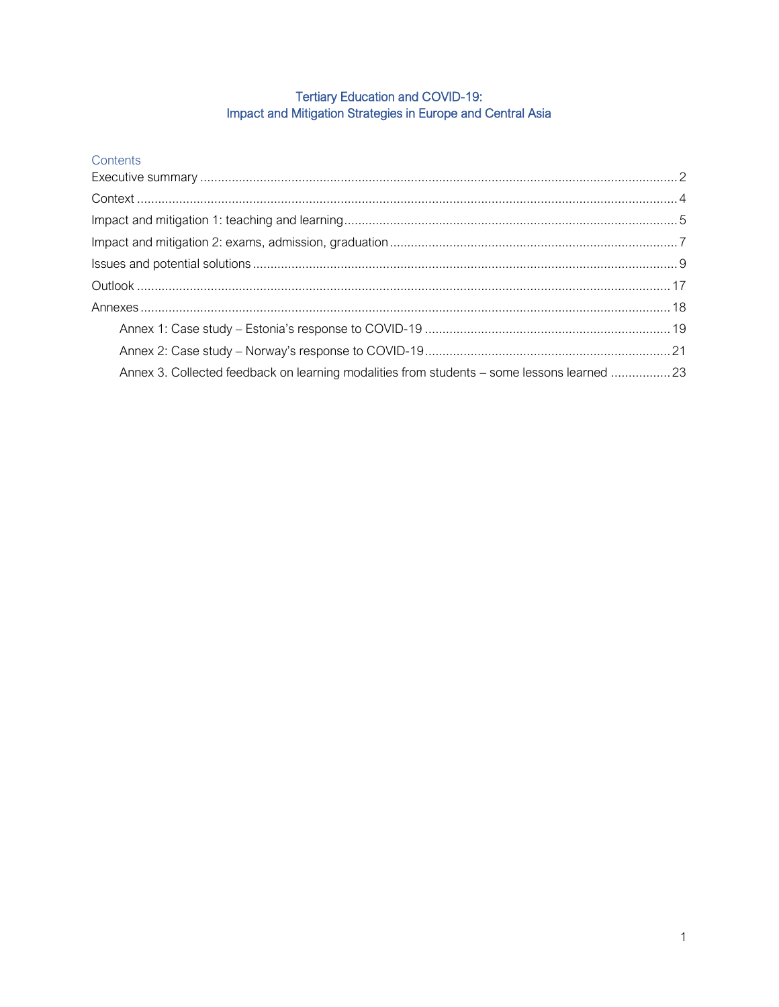# Tertiary Education and COVID-19:<br>Impact and Mitigation Strategies in Europe and Central Asia

| Contents |
|----------|
|          |

| Annex 3. Collected feedback on learning modalities from students - some lessons learned 23 |  |
|--------------------------------------------------------------------------------------------|--|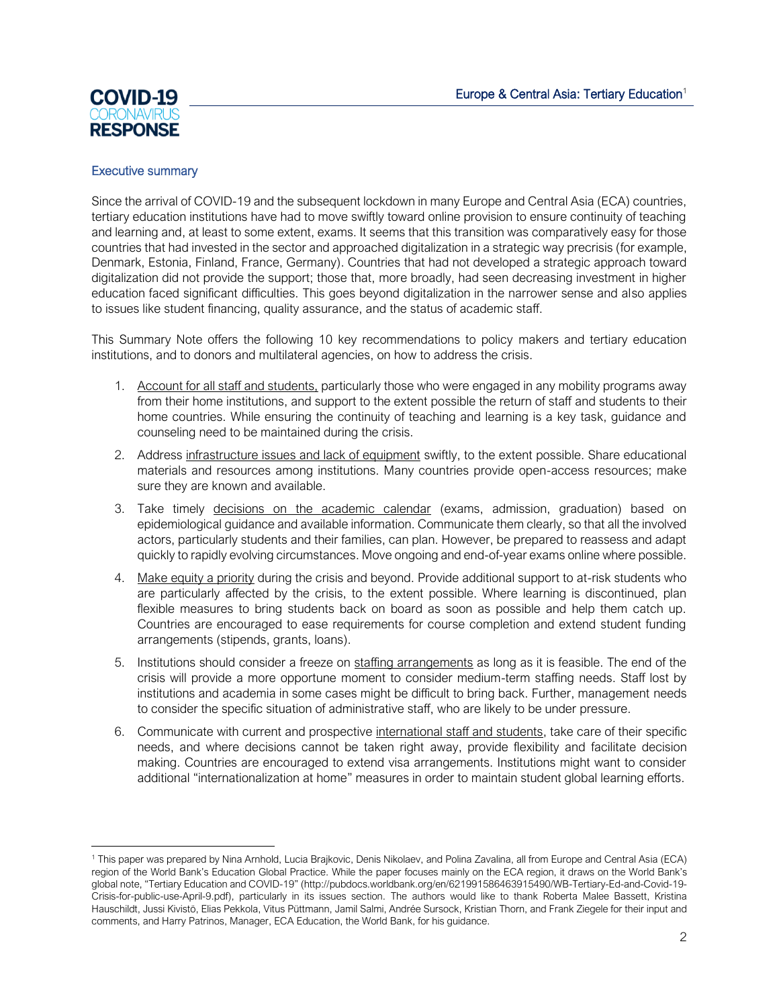# <span id="page-1-0"></span>**COVID-19 RESPONSE**

# Executive summary

Since the arrival of COVID-19 and the subsequent lockdown in many Europe and Central Asia (ECA) countries, tertiary education institutions have had to move swiftly toward online provision to ensure continuity of teaching and learning and, at least to some extent, exams. It seems that this transition was comparatively easy for those countries that had invested in the sector and approached digitalization in a strategic way precrisis (for example, Denmark, Estonia, Finland, France, Germany). Countries that had not developed a strategic approach toward digitalization did not provide the support; those that, more broadly, had seen decreasing investment in higher education faced significant difficulties. This goes beyond digitalization in the narrower sense and also applies to issues like student financing, quality assurance, and the status of academic staff.

This Summary Note offers the following 10 key recommendations to policy makers and tertiary education institutions, and to donors and multilateral agencies, on how to address the crisis.

- 1. Account for all staff and students, particularly those who were engaged in any mobility programs away from their home institutions, and support to the extent possible the return of staff and students to their home countries. While ensuring the continuity of teaching and learning is a key task, guidance and counseling need to be maintained during the crisis.
- 2. Address infrastructure issues and lack of equipment swiftly, to the extent possible. Share educational materials and resources among institutions. Many countries provide open-access resources; make sure they are known and available.
- 3. Take timely decisions on the academic calendar (exams, admission, graduation) based on epidemiological guidance and available information. Communicate them clearly, so that all the involved actors, particularly students and their families, can plan. However, be prepared to reassess and adapt quickly to rapidly evolving circumstances. Move ongoing and end-of-year exams online where possible.
- 4. Make equity a priority during the crisis and beyond. Provide additional support to at-risk students who are particularly affected by the crisis, to the extent possible. Where learning is discontinued, plan flexible measures to bring students back on board as soon as possible and help them catch up. Countries are encouraged to ease requirements for course completion and extend student funding arrangements (stipends, grants, loans).
- 5. Institutions should consider a freeze on staffing arrangements as long as it is feasible. The end of the crisis will provide a more opportune moment to consider medium-term staffing needs. Staff lost by institutions and academia in some cases might be difficult to bring back. Further, management needs to consider the specific situation of administrative staff, who are likely to be under pressure.
- 6. Communicate with current and prospective international staff and students, take care of their specific needs, and where decisions cannot be taken right away, provide flexibility and facilitate decision making. Countries are encouraged to extend visa arrangements. Institutions might want to consider additional "internationalization at home" measures in order to maintain student global learning efforts.

<sup>1</sup> This paper was prepared by Nina Arnhold, Lucia Brajkovic, Denis Nikolaev, and Polina Zavalina, all from Europe and Central Asia (ECA) region of the World Bank's Education Global Practice. While the paper focuses mainly on the ECA region, it draws on the World Bank's global note, "Tertiary Education and COVID-19" ([http://pubdocs.worldbank.org/en/621991586463915490/WB-Tertiary-Ed-and-Covid-19-](http://pubdocs.worldbank.org/en/621991586463915490/WB-Tertiary-Ed-and-Covid-19-Crisis-for-public-use-April-9.pdf) [Crisis-for-public-use-April-9.pdf\)](http://pubdocs.worldbank.org/en/621991586463915490/WB-Tertiary-Ed-and-Covid-19-Crisis-for-public-use-April-9.pdf), particularly in its issues section. The authors would like to thank Roberta Malee Bassett, Kristina Hauschildt, Jussi Kivistö, Elias Pekkola, Vitus Püttmann, Jamil Salmi, Andrée Sursock, Kristian Thorn, and Frank Ziegele for their input and comments, and Harry Patrinos, Manager, ECA Education, the World Bank, for his guidance.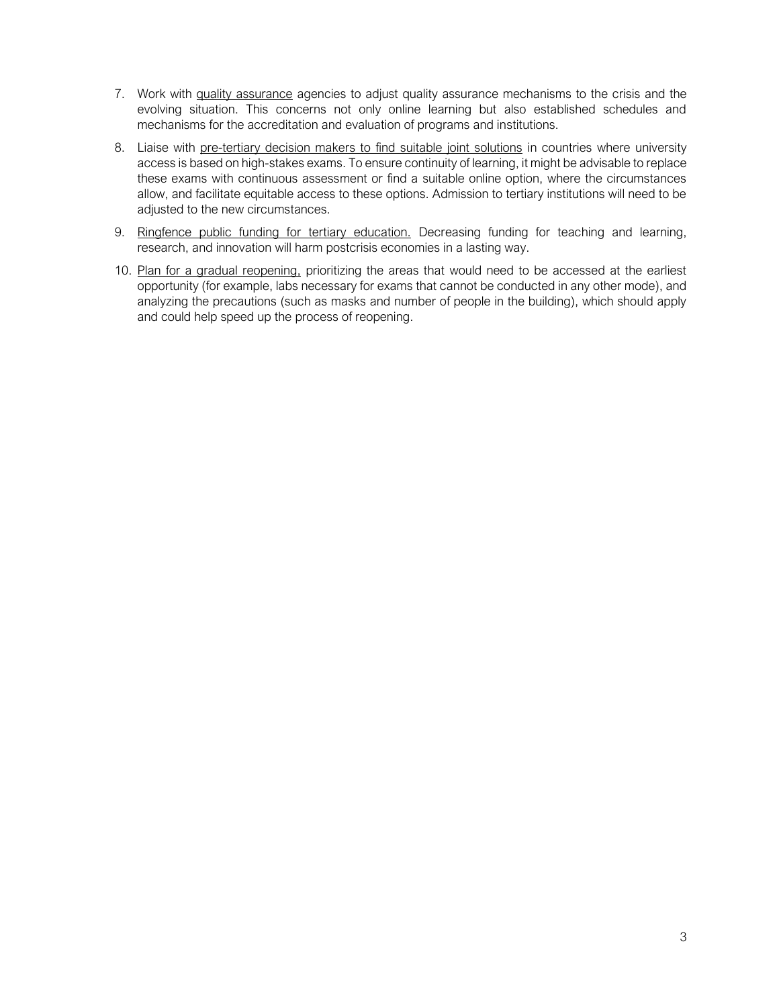- 7. Work with quality assurance agencies to adjust quality assurance mechanisms to the crisis and the evolving situation. This concerns not only online learning but also established schedules and mechanisms for the accreditation and evaluation of programs and institutions.
- 8. Liaise with pre-tertiary decision makers to find suitable joint solutions in countries where university access is based on high-stakes exams. To ensure continuity of learning, it might be advisable to replace these exams with continuous assessment or find a suitable online option, where the circumstances allow, and facilitate equitable access to these options. Admission to tertiary institutions will need to be adjusted to the new circumstances.
- 9. Ringfence public funding for tertiary education. Decreasing funding for teaching and learning, research, and innovation will harm postcrisis economies in a lasting way.
- 10. Plan for a gradual reopening, prioritizing the areas that would need to be accessed at the earliest opportunity (for example, labs necessary for exams that cannot be conducted in any other mode), and analyzing the precautions (such as masks and number of people in the building), which should apply and could help speed up the process of reopening.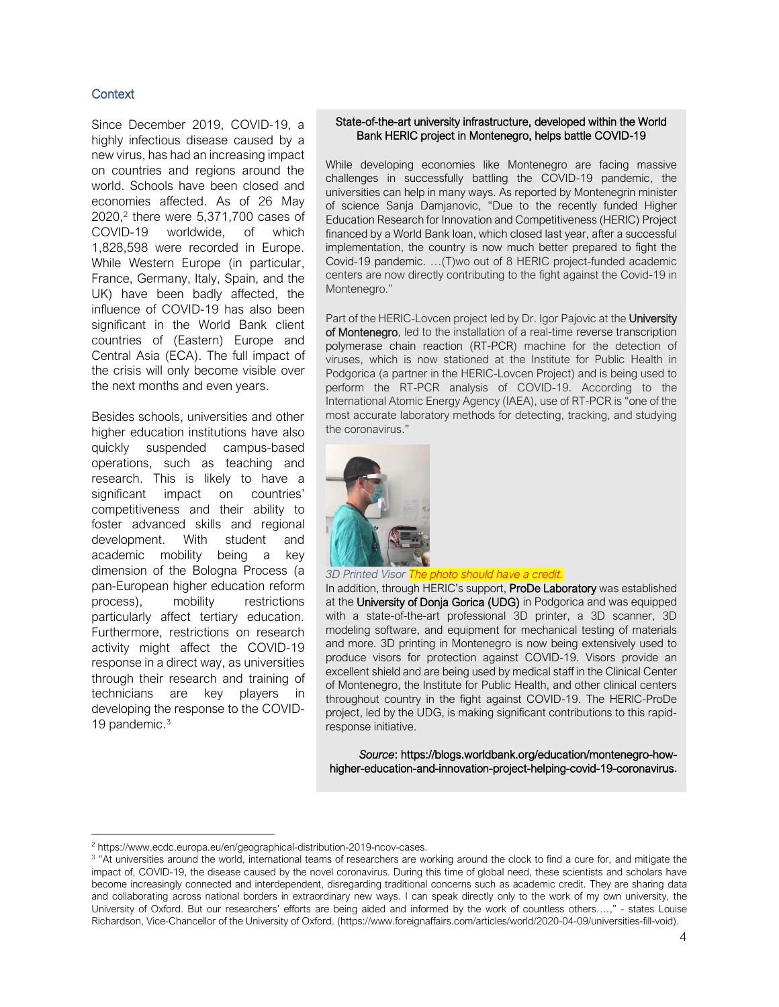# <span id="page-3-0"></span>**Context**

Since December 2019, COVID-19, a highly infectious disease caused by a new virus, has had an increasing impact on countries and regions around the world. Schools have been closed and economies affected. As of 26 May 2020, 2 there were 5,371,700 cases of COVID-19 worldwide, of which 1,828,598 were recorded in Europe. While Western Europe (in particular, France, Germany, Italy, Spain, and the UK) have been badly affected, the influence of COVID-19 has also been significant in the World Bank client countries of (Eastern) Europe and Central Asia (ECA). The full impact of the crisis will only become visible over the next months and even years.

Besides schools, universities and other higher education institutions have also quickly suspended campus-based operations, such as teaching and research. This is likely to have a significant impact on countries' competitiveness and their ability to foster advanced skills and regional development. With student and academic mobility being a key dimension of the Bologna Process (a pan-European higher education reform process), mobility restrictions particularly affect tertiary education. Furthermore, restrictions on research activity might affect the COVID-19 response in a direct way, as universities through their research and training of technicians are key players in developing the response to the COVID-19 pandemic. 3

#### State-of-the-art university infrastructure, developed within the World Bank HERIC project in Montenegro, helps battle COVID-19

While developing economies like Montenegro are facing massive challenges in successfully battling the COVID-19 pandemic, the universities can help in many ways. As reported by Montenegrin minister of science Sanja Damjanovic, "Due to the recently funded Higher Education Research for Innovation and Competitiveness (HERIC) Project financed by a World Bank loan, which closed last year, after a successful implementation, the country is now much better prepared to fight the Covid-19 pandemic. …(T)wo out of 8 HERIC project-funded academic centers are now directly contributing to the fight against the Covid-19 in Montenegro."

Part of the HERIC-Lovcen project led by Dr. Igor Pajovic at the University of Montenegro, led to the installation of a real-time reverse transcription polymerase chain reaction (RT-PCR) machine for the detection of viruses, which is now stationed at the Institute for Public Health in Podgorica (a partner in the HERIC-Lovcen Project) and is being used to perform the RT-PCR analysis of COVID-19. According to the International Atomic Energy Agency (IAEA), use of RT-PCR is "one of the most accurate laboratory methods for detecting, tracking, and studying the coronavirus."



#### *3D Printed Visor The photo should have a credit.*

In addition, through HERIC's support, ProDe Laboratory was established at the University of Donja Gorica (UDG) in Podgorica and was equipped with a state-of-the-art professional 3D printer, a 3D scanner, 3D modeling software, and equipment for mechanical testing of materials and more. 3D printing in Montenegro is now being extensively used to produce visors for protection against COVID-19. Visors provide an excellent shield and are being used by medical staff in the Clinical Center of Montenegro, the Institute for Public Health, and other clinical centers throughout country in the fight against COVID-19. The HERIC-ProDe project, led by the UDG, is making significant contributions to this rapidresponse initiative.

*Source*: [https://blogs.worldbank.org/education/montenegro-how](https://blogs.worldbank.org/education/montenegro-how-higher-education-and-innovation-project-helping-covid-19-coronavirus)[higher-education-and-innovation-project-helping-covid-19-coronavirus](https://blogs.worldbank.org/education/montenegro-how-higher-education-and-innovation-project-helping-covid-19-coronavirus)**.**

<sup>2</sup> [https://www.ecdc.europa.eu/en/geographical-distribution-2019-ncov-cases.](https://www.ecdc.europa.eu/en/geographical-distribution-2019-ncov-cases)

<sup>&</sup>lt;sup>3</sup> "At universities around the world, international teams of researchers are working around the clock to find a cure for, and mitigate the impact of, COVID-19, the disease caused by the novel coronavirus. During this time of global need, these scientists and scholars have become increasingly connected and interdependent, disregarding traditional concerns such as academic credit. They are sharing data and collaborating across national borders in extraordinary new ways. I can speak directly only to the work of my own university, the University of Oxford. But our researchers' efforts are being aided and informed by the work of countless others….," - states Louise Richardson, Vice-Chancellor of the University of Oxford. [\(https://www.foreignaffairs.com/articles/world/2020-04-09/universities-fill-void\)](https://www.foreignaffairs.com/articles/world/2020-04-09/universities-fill-void).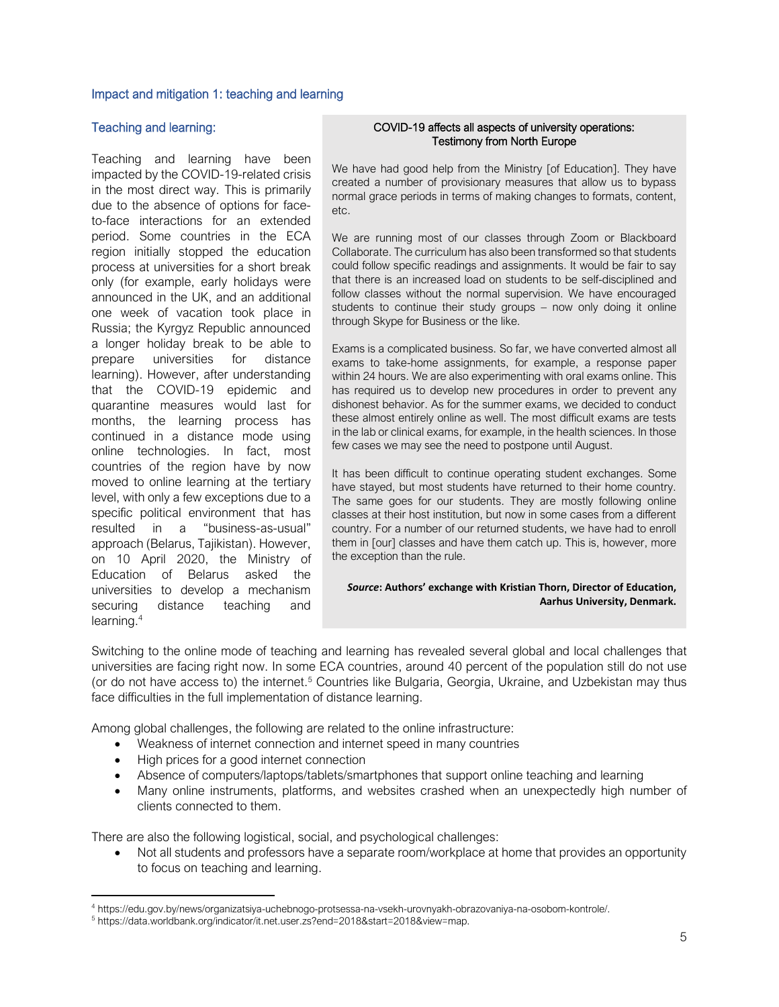#### <span id="page-4-0"></span>Impact and mitigation 1: teaching and learning

### Teaching and learning:

Teaching and learning have been impacted by the COVID-19-related crisis in the most direct way. This is primarily due to the absence of options for faceto-face interactions for an extended period. Some countries in the ECA region initially stopped the education process at universities for a short break only (for example, early holidays were announced in the UK, and an additional one week of vacation took place in Russia; the Kyrgyz Republic announced a longer holiday break to be able to prepare universities for distance learning). However, after understanding that the COVID-19 epidemic and quarantine measures would last for months, the learning process has continued in a distance mode using online technologies. In fact, most countries of the region have by now moved to online learning at the tertiary level, with only a few exceptions due to a specific political environment that has resulted in a "business-as-usual" approach (Belarus, Tajikistan). However, on 10 April 2020, the Ministry of Education of Belarus asked the universities to develop a mechanism securing distance teaching and learning. 4

#### COVID-19 affects all aspects of university operations: Testimony from North Europe

We have had good help from the Ministry [of Education]. They have created a number of provisionary measures that allow us to bypass normal grace periods in terms of making changes to formats, content, etc.

We are running most of our classes through Zoom or Blackboard Collaborate. The curriculum has also been transformed so that students could follow specific readings and assignments. It would be fair to say that there is an increased load on students to be self-disciplined and follow classes without the normal supervision. We have encouraged students to continue their study groups – now only doing it online through Skype for Business or the like.

Exams is a complicated business. So far, we have converted almost all exams to take-home assignments, for example, a response paper within 24 hours. We are also experimenting with oral exams online. This has required us to develop new procedures in order to prevent any dishonest behavior. As for the summer exams, we decided to conduct these almost entirely online as well. The most difficult exams are tests in the lab or clinical exams, for example, in the health sciences. In those few cases we may see the need to postpone until August.

It has been difficult to continue operating student exchanges. Some have stayed, but most students have returned to their home country. The same goes for our students. They are mostly following online classes at their host institution, but now in some cases from a different country. For a number of our returned students, we have had to enroll them in [our] classes and have them catch up. This is, however, more the exception than the rule.

#### *Source***: Authors' exchange with Kristian Thorn, Director of Education, Aarhus University, Denmark.**

Switching to the online mode of teaching and learning has revealed several global and local challenges that universities are facing right now. In some ECA countries, around 40 percent of the population still do not use (or do not have access to) the internet. <sup>5</sup> Countries like Bulgaria, Georgia, Ukraine, and Uzbekistan may thus face difficulties in the full implementation of distance learning.

Among global challenges, the following are related to the online infrastructure:

- Weakness of internet connection and internet speed in many countries
- High prices for a good internet connection
- Absence of computers/laptops/tablets/smartphones that support online teaching and learning
- Many online instruments, platforms, and websites crashed when an unexpectedly high number of clients connected to them.

There are also the following logistical, social, and psychological challenges:

• Not all students and professors have a separate room/workplace at home that provides an opportunity to focus on teaching and learning.

<sup>4</sup> https://edu.gov.by/news/organizatsiya-uchebnogo-protsessa-na-vsekh-urovnyakh-obrazovaniya-na-osobom-kontrole/.

<sup>5</sup> https://data.worldbank.org/indicator/it.net.user.zs?end=2018&start=2018&view=map.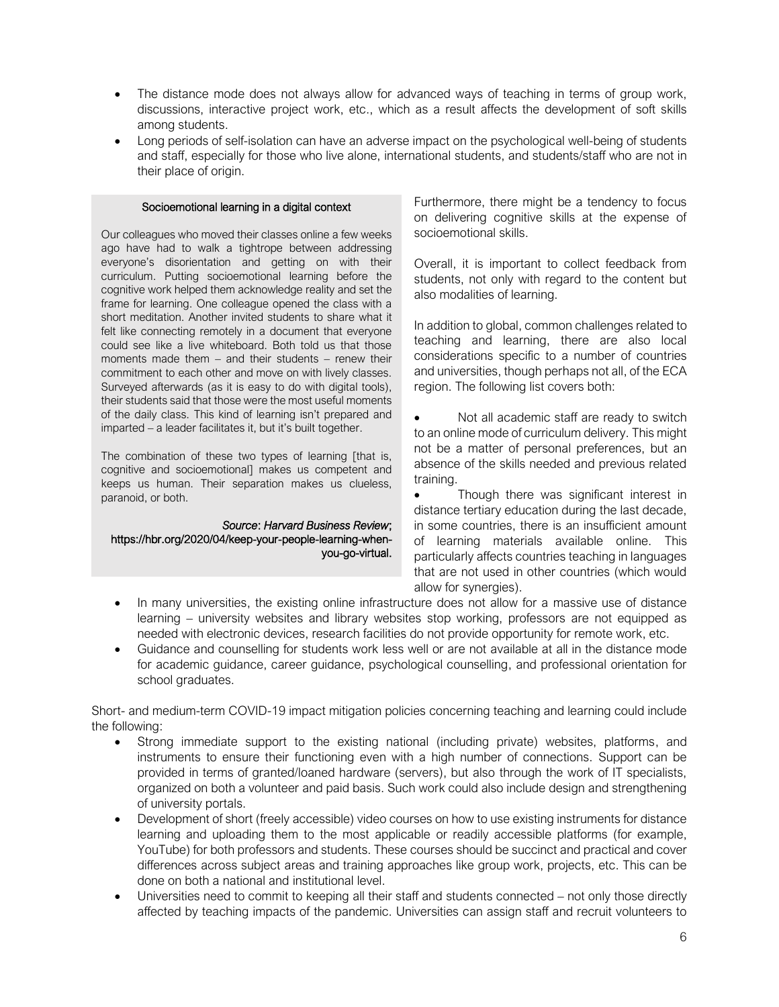- The distance mode does not always allow for advanced ways of teaching in terms of group work, discussions, interactive project work, etc., which as a result affects the development of soft skills among students.
- Long periods of self-isolation can have an adverse impact on the psychological well-being of students and staff, especially for those who live alone, international students, and students/staff who are not in their place of origin.

#### Socioemotional learning in a digital context

Our colleagues who moved their classes online a few weeks ago have had to walk a tightrope between addressing everyone's disorientation and getting on with their curriculum. Putting socioemotional learning before the cognitive work helped them acknowledge reality and set the frame for learning. One colleague opened the class with a short meditation. Another invited students to share what it felt like connecting remotely in a document that everyone could see like a live whiteboard. Both told us that those moments made them – and their students – renew their commitment to each other and move on with lively classes. Surveyed afterwards (as it is easy to do with digital tools), their students said that those were the most useful moments of the daily class. This kind of learning isn't prepared and imparted – a leader facilitates it, but it's built together.

The combination of these two types of learning [that is, cognitive and socioemotional] makes us competent and keeps us human. Their separation makes us clueless, paranoid, or both.

*Source*: *Harvard Business Review*; [https://hbr.org/2020/04/keep-your-people-learning-when](https://hbr.org/2020/04/keep-your-people-learning-when-you-go-virtual)[you-go-virtual.](https://hbr.org/2020/04/keep-your-people-learning-when-you-go-virtual)

Furthermore, there might be a tendency to focus on delivering cognitive skills at the expense of socioemotional skills.

Overall, it is important to collect feedback from students, not only with regard to the content but also modalities of learning.

In addition to global, common challenges related to teaching and learning, there are also local considerations specific to a number of countries and universities, though perhaps not all, of the ECA region. The following list covers both:

• Not all academic staff are ready to switch to an online mode of curriculum delivery. This might not be a matter of personal preferences, but an absence of the skills needed and previous related training.

Though there was significant interest in distance tertiary education during the last decade, in some countries, there is an insufficient amount of learning materials available online. This particularly affects countries teaching in languages that are not used in other countries (which would allow for synergies).

- In many universities, the existing online infrastructure does not allow for a massive use of distance learning – university websites and library websites stop working, professors are not equipped as needed with electronic devices, research facilities do not provide opportunity for remote work, etc.
- Guidance and counselling for students work less well or are not available at all in the distance mode for academic guidance, career guidance, psychological counselling, and professional orientation for school graduates.

Short- and medium-term COVID-19 impact mitigation policies concerning teaching and learning could include the following:

- Strong immediate support to the existing national (including private) websites, platforms, and instruments to ensure their functioning even with a high number of connections. Support can be provided in terms of granted/loaned hardware (servers), but also through the work of IT specialists, organized on both a volunteer and paid basis. Such work could also include design and strengthening of university portals.
- Development of short (freely accessible) video courses on how to use existing instruments for distance learning and uploading them to the most applicable or readily accessible platforms (for example, YouTube) for both professors and students. These courses should be succinct and practical and cover differences across subject areas and training approaches like group work, projects, etc. This can be done on both a national and institutional level.
- Universities need to commit to keeping all their staff and students connected not only those directly affected by teaching impacts of the pandemic. Universities can assign staff and recruit volunteers to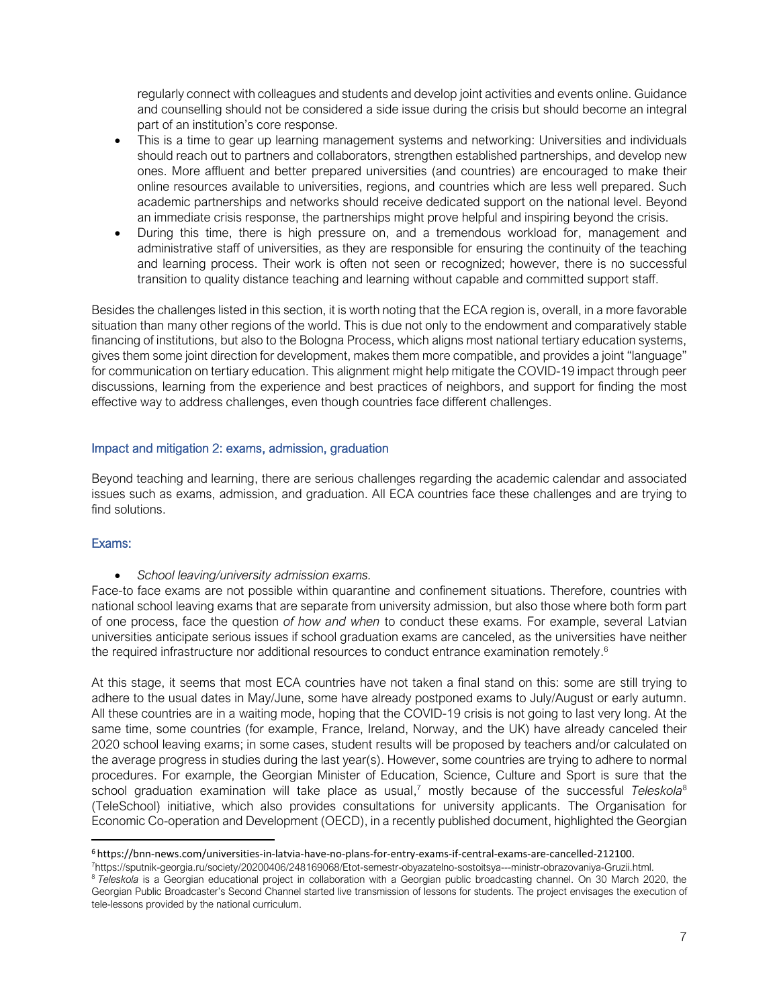regularly connect with colleagues and students and develop joint activities and events online. Guidance and counselling should not be considered a side issue during the crisis but should become an integral part of an institution's core response.

- This is a time to gear up learning management systems and networking: Universities and individuals should reach out to partners and collaborators, strengthen established partnerships, and develop new ones. More affluent and better prepared universities (and countries) are encouraged to make their online resources available to universities, regions, and countries which are less well prepared. Such academic partnerships and networks should receive dedicated support on the national level. Beyond an immediate crisis response, the partnerships might prove helpful and inspiring beyond the crisis.
- During this time, there is high pressure on, and a tremendous workload for, management and administrative staff of universities, as they are responsible for ensuring the continuity of the teaching and learning process. Their work is often not seen or recognized; however, there is no successful transition to quality distance teaching and learning without capable and committed support staff.

Besides the challenges listed in this section, it is worth noting that the ECA region is, overall, in a more favorable situation than many other regions of the world. This is due not only to the endowment and comparatively stable financing of institutions, but also to the Bologna Process, which aligns most national tertiary education systems, gives them some joint direction for development, makes them more compatible, and provides a joint "language" for communication on tertiary education. This alignment might help mitigate the COVID-19 impact through peer discussions, learning from the experience and best practices of neighbors, and support for finding the most effective way to address challenges, even though countries face different challenges.

# <span id="page-6-0"></span>Impact and mitigation 2: exams, admission, graduation

Beyond teaching and learning, there are serious challenges regarding the academic calendar and associated issues such as exams, admission, and graduation. All ECA countries face these challenges and are trying to find solutions.

#### Exams:

• *School leaving/university admission exams.*

Face-to face exams are not possible within quarantine and confinement situations. Therefore, countries with national school leaving exams that are separate from university admission, but also those where both form part of one process, face the question *of how and when* to conduct these exams. For example, several Latvian universities anticipate serious issues if school graduation exams are canceled, as the universities have neither the required infrastructure nor additional resources to conduct entrance examination remotely.<sup>6</sup>

At this stage, it seems that most ECA countries have not taken a final stand on this: some are still trying to adhere to the usual dates in May/June, some have already postponed exams to July/August or early autumn. All these countries are in a waiting mode, hoping that the COVID-19 crisis is not going to last very long. At the same time, some countries (for example, France, Ireland, Norway, and the UK) have already canceled their 2020 school leaving exams; in some cases, student results will be proposed by teachers and/or calculated on the average progress in studies during the last year(s). However, some countries are trying to adhere to normal procedures. For example, the Georgian Minister of Education, Science, Culture and Sport is sure that the school graduation examination will take place as usual, <sup>7</sup> mostly because of the successful *Teleskola*<sup>8</sup> (TeleSchool) initiative, which also provides consultations for university applicants. The Organisation for Economic Co-operation and Development (OECD), in a recently published document, highlighted the Georgian

<sup>6</sup> https://bnn-news.com/universities-in-latvia-have-no-plans-for-entry-exams-if-central-exams-are-cancelled-212100.

<sup>7</sup>https://sputnik-georgia.ru/society/20200406/248169068/Etot-semestr-obyazatelno-sostoitsya---ministr-obrazovaniya-Gruzii.html.

<sup>&</sup>lt;sup>8</sup> Teleskola is a Georgian educational project in collaboration with a Georgian public broadcasting channel. On 30 March 2020, the Georgian Public Broadcaster's Second Channel started live transmission of lessons for students. The project envisages the execution of tele-lessons provided by the national curriculum.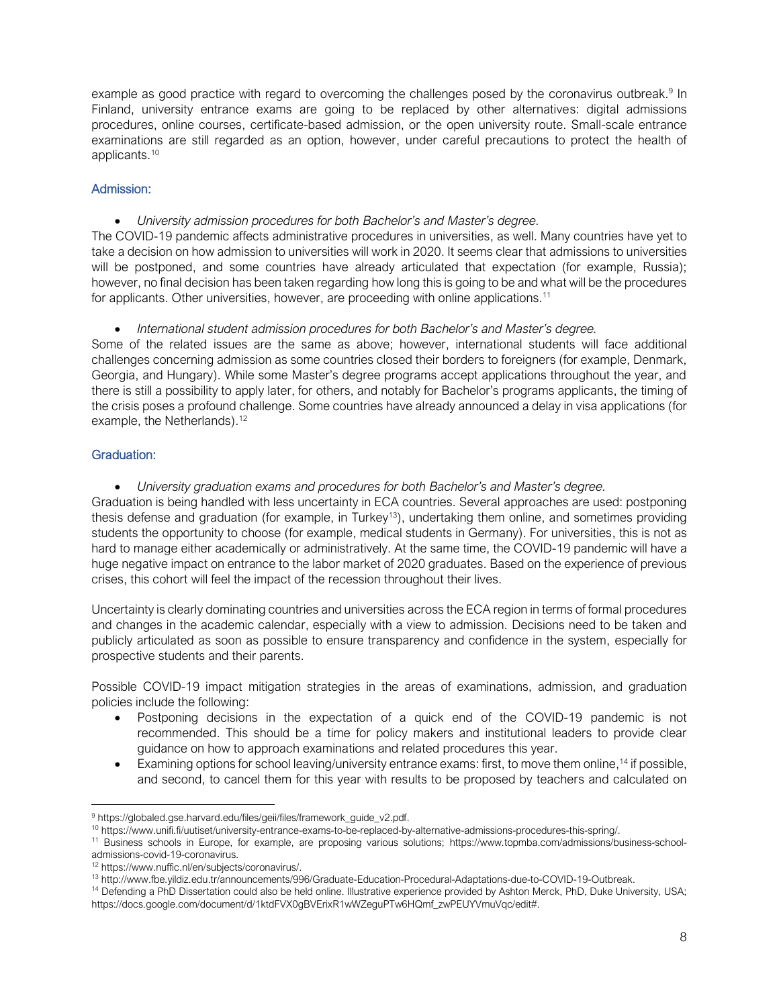example as good practice with regard to overcoming the challenges posed by the coronavirus outbreak.<sup>9</sup> In Finland, university entrance exams are going to be replaced by other alternatives: digital admissions procedures, online courses, certificate-based admission, or the open university route. Small-scale entrance examinations are still regarded as an option, however, under careful precautions to protect the health of applicants. 10

# Admission:

• *University admission procedures for both Bachelor's and Master's degree.* 

The COVID-19 pandemic affects administrative procedures in universities, as well. Many countries have yet to take a decision on how admission to universities will work in 2020. It seems clear that admissions to universities will be postponed, and some countries have already articulated that expectation (for example, Russia); however, no final decision has been taken regarding how long this is going to be and what will be the procedures for applicants. Other universities, however, are proceeding with online applications.<sup>11</sup>

• *International student admission procedures for both Bachelor's and Master's degree.* 

Some of the related issues are the same as above; however, international students will face additional challenges concerning admission as some countries closed their borders to foreigners (for example, Denmark, Georgia, and Hungary). While some Master's degree programs accept applications throughout the year, and there is still a possibility to apply later, for others, and notably for Bachelor's programs applicants, the timing of the crisis poses a profound challenge. Some countries have already announced a delay in visa applications (for example, the Netherlands).<sup>12</sup>

# Graduation:

• *University graduation exams and procedures for both Bachelor's and Master's degree.* 

Graduation is being handled with less uncertainty in ECA countries. Several approaches are used: postponing thesis defense and graduation (for example, in Turkey<sup>13</sup>), undertaking them online, and sometimes providing students the opportunity to choose (for example, medical students in Germany). For universities, this is not as hard to manage either academically or administratively. At the same time, the COVID-19 pandemic will have a huge negative impact on entrance to the labor market of 2020 graduates. Based on the experience of previous crises, this cohort will feel the impact of the recession throughout their lives.

Uncertainty is clearly dominating countries and universities across the ECA region in terms of formal procedures and changes in the academic calendar, especially with a view to admission. Decisions need to be taken and publicly articulated as soon as possible to ensure transparency and confidence in the system, especially for prospective students and their parents.

Possible COVID-19 impact mitigation strategies in the areas of examinations, admission, and graduation policies include the following:

- Postponing decisions in the expectation of a quick end of the COVID-19 pandemic is not recommended. This should be a time for policy makers and institutional leaders to provide clear guidance on how to approach examinations and related procedures this year.
- Examining options for school leaving/university entrance exams: first, to move them online,<sup>14</sup> if possible, and second, to cancel them for this year with results to be proposed by teachers and calculated on

<sup>9</sup> [https://globaled.gse.harvard.edu/files/geii/files/framework\\_guide\\_v2.pdf.](https://globaled.gse.harvard.edu/files/geii/files/framework_guide_v2.pdf)

<sup>10</sup> https://www.unifi.fi/uutiset/university-entrance-exams-to-be-replaced-by-alternative-admissions-procedures-this-spring/.

<sup>11</sup> Business schools in Europe, for example, are proposing various solutions; [https://www.topmba.com/admissions/business-school](https://www.topmba.com/admissions/business-school-admissions-covid-19-coronavirus)[admissions-covid-19-coronavirus.](https://www.topmba.com/admissions/business-school-admissions-covid-19-coronavirus)

<sup>12</sup> [https://www.nuffic.nl/en/subjects/coronavirus/.](https://www.nuffic.nl/en/subjects/coronavirus/)

<sup>13</sup> [http://www.fbe.yildiz.edu.tr/announcements/996/Graduate-Education-Procedural-Adaptations-due-to-COVID-19-Outbreak.](http://www.fbe.yildiz.edu.tr/announcements/996/Graduate-Education-Procedural-Adaptations-due-to-COVID-19-Outbreak)

<sup>&</sup>lt;sup>14</sup> Defending a PhD Dissertation could also be held online. Illustrative experience provided by Ashton Merck, PhD, Duke University, USA; [https://docs.google.com/document/d/1ktdFVX0gBVErixR1wWZeguPTw6HQmf\\_zwPEUYVmuVqc/edit#.](https://docs.google.com/document/d/1ktdFVX0gBVErixR1wWZeguPTw6HQmf_zwPEUYVmuVqc/edit)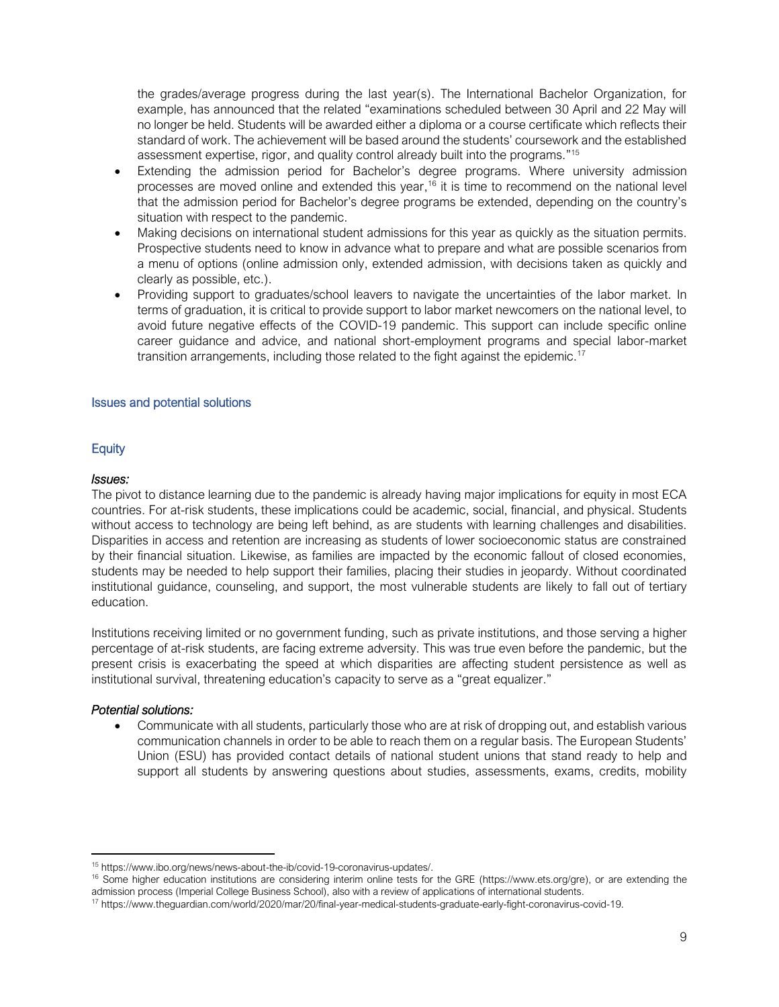the grades/average progress during the last year(s). The International Bachelor Organization, for example, has announced that the related "examinations scheduled between 30 April and 22 May will no longer be held. Students will be awarded either a diploma or a course certificate which reflects their standard of work. The achievement will be based around the students' coursework and the established assessment expertise, rigor, and quality control already built into the programs." 15

- Extending the admission period for Bachelor's degree programs. Where university admission processes are moved online and extended this year,<sup>16</sup> it is time to recommend on the national level that the admission period for Bachelor's degree programs be extended, depending on the country's situation with respect to the pandemic.
- Making decisions on international student admissions for this year as quickly as the situation permits. Prospective students need to know in advance what to prepare and what are possible scenarios from a menu of options (online admission only, extended admission, with decisions taken as quickly and clearly as possible, etc.).
- Providing support to graduates/school leavers to navigate the uncertainties of the labor market. In terms of graduation, it is critical to provide support to labor market newcomers on the national level, to avoid future negative effects of the COVID-19 pandemic. This support can include specific online career guidance and advice, and national short-employment programs and special labor-market transition arrangements, including those related to the fight against the epidemic.<sup>17</sup>

#### <span id="page-8-0"></span>Issues and potential solutions

# **Equity**

#### *Issues:*

The pivot to distance learning due to the pandemic is already having major implications for equity in most ECA countries. For at-risk students, these implications could be academic, social, financial, and physical. Students without access to technology are being left behind, as are students with learning challenges and disabilities. Disparities in access and retention are increasing as students of lower socioeconomic status are constrained by their financial situation. Likewise, as families are impacted by the economic fallout of closed economies, students may be needed to help support their families, placing their studies in jeopardy. Without coordinated institutional guidance, counseling, and support, the most vulnerable students are likely to fall out of tertiary education.

Institutions receiving limited or no government funding, such as private institutions, and those serving a higher percentage of at-risk students, are facing extreme adversity. This was true even before the pandemic, but the present crisis is exacerbating the speed at which disparities are affecting student persistence as well as institutional survival, threatening education's capacity to serve as a "great equalizer."

#### *Potential solutions:*

• Communicate with all students, particularly those who are at risk of dropping out, and establish various communication channels in order to be able to reach them on a regular basis. The European Students' Union (ESU) has provided contact details of national student unions that stand ready to help and support all students by answering questions about studies, assessments, exams, credits, mobility

<sup>15</sup> [https://www.ibo.org/news/news-about-the-ib/covid-19-coronavirus-updates/.](https://www.ibo.org/news/news-about-the-ib/covid-19-coronavirus-updates/)

<sup>&</sup>lt;sup>16</sup> Some higher education institutions are considering interim online tests for the GRE [\(https://www.ets.org/gre\)](https://www.ets.org/gre), or are extending the admission process (Imperial College Business School), also with a review of applications of international students.

<sup>17</sup> [https://www.theguardian.com/world/2020/mar/20/final-year-medical-students-graduate-early-fight-coronavirus-covid-19.](https://www.theguardian.com/world/2020/mar/20/final-year-medical-students-graduate-early-fight-coronavirus-covid-19)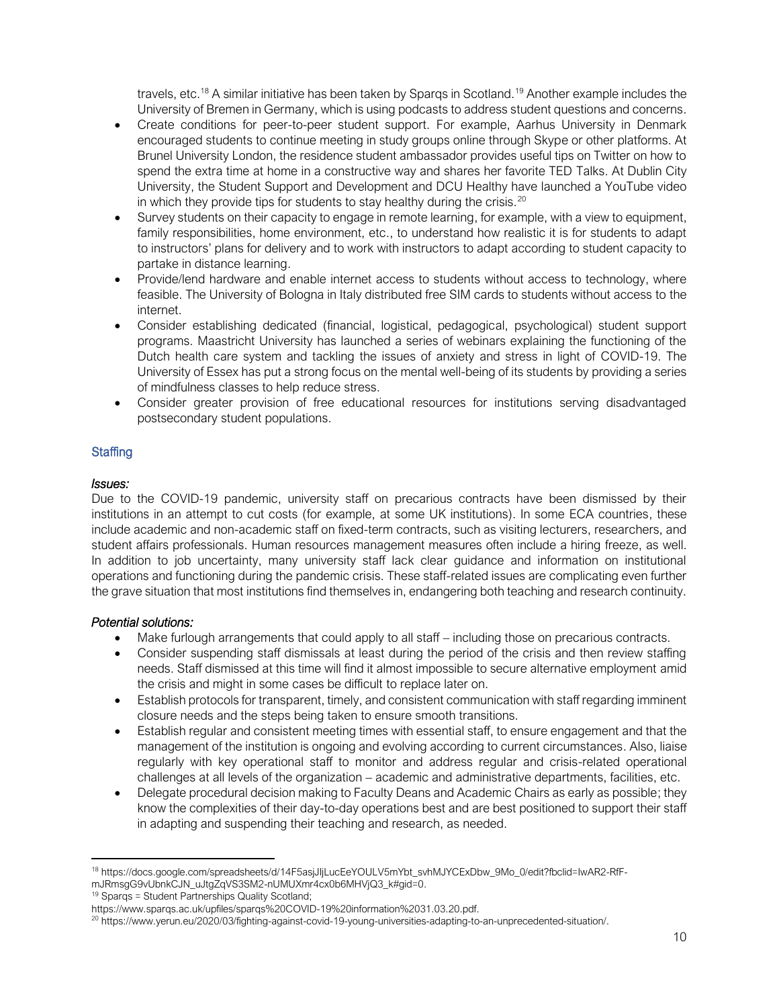travels, etc.<sup>18</sup> A similar initiative has been taken by Spargs in Scotland.<sup>19</sup> Another example includes the University of Bremen in Germany, which is using podcasts to address student questions and concerns.

- Create conditions for peer-to-peer student support. For example, Aarhus University in Denmark encouraged students to continue meeting in study groups online through Skype or other platforms. At Brunel University London, the residence student ambassador provides useful tips on Twitter on how to spend the extra time at home in a constructive way and shares her favorite TED Talks. At Dublin City University, the Student Support and Development and DCU Healthy have launched a YouTube video in which they provide tips for students to stay healthy during the crisis. $20$
- Survey students on their capacity to engage in remote learning, for example, with a view to equipment, family responsibilities, home environment, etc., to understand how realistic it is for students to adapt to instructors' plans for delivery and to work with instructors to adapt according to student capacity to partake in distance learning.
- Provide/lend hardware and enable internet access to students without access to technology, where feasible. The University of Bologna in Italy distributed free SIM cards to students without access to the internet.
- Consider establishing dedicated (financial, logistical, pedagogical, psychological) student support programs. Maastricht University has launched a series of webinars explaining the functioning of the Dutch health care system and tackling the issues of anxiety and stress in light of COVID-19. The University of Essex has put a strong focus on the mental well-being of its students by providing a series of mindfulness classes to help reduce stress.
- Consider greater provision of free educational resources for institutions serving disadvantaged postsecondary student populations.

# **Staffing**

# *Issues:*

Due to the COVID-19 pandemic, university staff on precarious contracts have been dismissed by their institutions in an attempt to cut costs (for example, at some UK institutions). In some ECA countries, these include academic and non-academic staff on fixed-term contracts, such as visiting lecturers, researchers, and student affairs professionals. Human resources management measures often include a hiring freeze, as well. In addition to job uncertainty, many university staff lack clear guidance and information on institutional operations and functioning during the pandemic crisis. These staff-related issues are complicating even further the grave situation that most institutions find themselves in, endangering both teaching and research continuity.

# *Potential solutions:*

- Make furlough arrangements that could apply to all staff including those on precarious contracts.
- Consider suspending staff dismissals at least during the period of the crisis and then review staffing needs. Staff dismissed at this time will find it almost impossible to secure alternative employment amid the crisis and might in some cases be difficult to replace later on.
- Establish protocols for transparent, timely, and consistent communication with staff regarding imminent closure needs and the steps being taken to ensure smooth transitions.
- Establish regular and consistent meeting times with essential staff, to ensure engagement and that the management of the institution is ongoing and evolving according to current circumstances. Also, liaise regularly with key operational staff to monitor and address regular and crisis-related operational challenges at all levels of the organization – academic and administrative departments, facilities, etc.
- Delegate procedural decision making to Faculty Deans and Academic Chairs as early as possible; they know the complexities of their day-to-day operations best and are best positioned to support their staff in adapting and suspending their teaching and research, as needed.

<sup>18</sup> [https://docs.google.com/spreadsheets/d/14F5asjJIjLucEeYOULV5mYbt\\_svhMJYCExDbw\\_9Mo\\_0/edit?fbclid=IwAR2-RfF](https://docs.google.com/spreadsheets/d/14F5asjJIjLucEeYOULV5mYbt_svhMJYCExDbw_9Mo_0/edit?fbclid=IwAR2-RfF-mJRmsgG9vUbnkCJN_uJtgZqVS3SM2-nUMUXmr4cx0b6MHVjQ3_k#gid=0)[mJRmsgG9vUbnkCJN\\_uJtgZqVS3SM2-nUMUXmr4cx0b6MHVjQ3\\_k#gid=0.](https://docs.google.com/spreadsheets/d/14F5asjJIjLucEeYOULV5mYbt_svhMJYCExDbw_9Mo_0/edit?fbclid=IwAR2-RfF-mJRmsgG9vUbnkCJN_uJtgZqVS3SM2-nUMUXmr4cx0b6MHVjQ3_k#gid=0)

<sup>19</sup> Sparqs = Student Partnerships Quality Scotland;

[https://www.sparqs.ac.uk/upfiles/sparqs%20COVID-19%20information%2031.03.20.pdf.](https://www.sparqs.ac.uk/upfiles/sparqs%20COVID-19%20information%2031.03.20.pdf)

<sup>20</sup> [https://www.yerun.eu/2020/03/fighting-against-covid-19-young-universities-adapting-to-an-unprecedented-situation/.](https://www.yerun.eu/2020/03/fighting-against-covid-19-young-universities-adapting-to-an-unprecedented-situation/)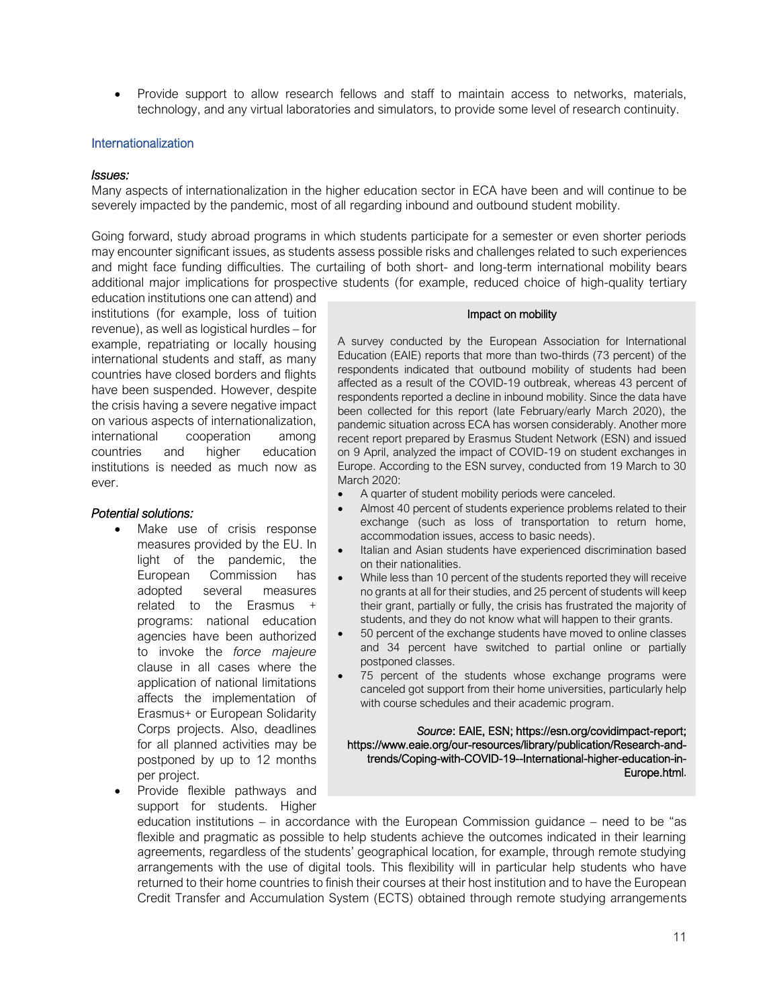• Provide support to allow research fellows and staff to maintain access to networks, materials, technology, and any virtual laboratories and simulators, to provide some level of research continuity.

#### **Internationalization**

#### *Issues:*

Many aspects of internationalization in the higher education sector in ECA have been and will continue to be severely impacted by the pandemic, most of all regarding inbound and outbound student mobility.

Going forward, study abroad programs in which students participate for a semester or even shorter periods may encounter significant issues, as students assess possible risks and challenges related to such experiences and might face funding difficulties. The curtailing of both short- and long-term international mobility bears additional major implications for prospective students (for example, reduced choice of high-quality tertiary

education institutions one can attend) and institutions (for example, loss of tuition revenue), as well as logistical hurdles – for example, repatriating or locally housing international students and staff, as many countries have closed borders and flights have been suspended. However, despite the crisis having a severe negative impact on various aspects of internationalization, international cooperation among countries and higher education institutions is needed as much now as ever.

#### *Potential solutions:*

- Make use of crisis response measures provided by the EU. In light of the pandemic, the European Commission has adopted several measures related to the Erasmus + programs: national education agencies have been authorized to invoke the *force majeure* clause in all cases where the application of national limitations affects the implementation of Erasmus+ or European Solidarity Corps projects. Also, deadlines for all planned activities may be postponed by up to 12 months per project.
- Provide flexible pathways and support for students. Higher

#### Impact on mobility

A survey conducted by the European Association for International Education (EAIE) reports that more than two-thirds (73 percent) of the respondents indicated that outbound mobility of students had been affected as a result of the COVID-19 outbreak, whereas 43 percent of respondents reported a decline in inbound mobility. Since the data have been collected for this report (late February/early March 2020), the pandemic situation across ECA has worsen considerably. Another more recent report prepared by Erasmus Student Network (ESN) and issued on 9 April, analyzed the impact of COVID-19 on student exchanges in Europe. According to the ESN survey, conducted from 19 March to 30 March 2020:

- A quarter of student mobility periods were canceled.
- Almost 40 percent of students experience problems related to their exchange (such as loss of transportation to return home, accommodation issues, access to basic needs).
- Italian and Asian students have experienced discrimination based on their nationalities.
- While less than 10 percent of the students reported they will receive no grants at all for their studies, and 25 percent of students will keep their grant, partially or fully, the crisis has frustrated the majority of students, and they do not know what will happen to their grants.
- 50 percent of the exchange students have moved to online classes and 34 percent have switched to partial online or partially postponed classes.
- 75 percent of the students whose exchange programs were canceled got support from their home universities, particularly help with course schedules and their academic program.

#### *Source*: EAIE, ESN; https://esn.org/covidimpact-report; [https://www.eaie.org/our-resources/library/publication/Research-and](https://www.eaie.org/our-resources/library/publication/Research-and-trends/Coping-with-COVID-19--International-higher-education-in-Europe.html)[trends/Coping-with-COVID-19--International-higher-education-in-](https://www.eaie.org/our-resources/library/publication/Research-and-trends/Coping-with-COVID-19--International-higher-education-in-Europe.html)[Europe.html](https://www.eaie.org/our-resources/library/publication/Research-and-trends/Coping-with-COVID-19--International-higher-education-in-Europe.html).

education institutions – in accordance with the European Commission guidance – need to be "as flexible and pragmatic as possible to help students achieve the outcomes indicated in their learning agreements, regardless of the students' geographical location, for example, through remote studying arrangements with the use of digital tools. This flexibility will in particular help students who have returned to their home countries to finish their courses at their host institution and to have the European Credit Transfer and Accumulation System (ECTS) obtained through remote studying arrangements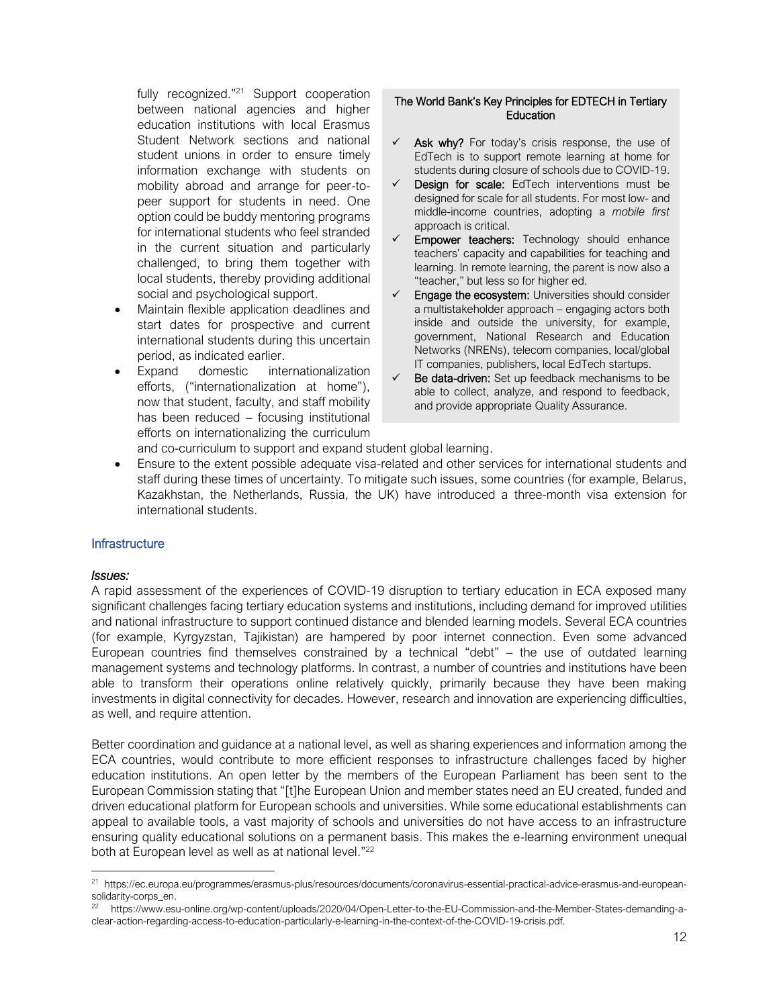fully recognized."<sup>21</sup> Support cooperation between national agencies and higher education institutions with local Erasmus Student Network sections and national student unions in order to ensure timely information exchange with students on mobility abroad and arrange for peer-topeer support for students in need. One option could be buddy mentoring programs for international students who feel stranded in the current situation and particularly challenged, to bring them together with local students, thereby providing additional social and psychological support.

- Maintain flexible application deadlines and start dates for prospective and current international students during this uncertain period, as indicated earlier.
- Expand domestic internationalization efforts, ("internationalization at home"), now that student, faculty, and staff mobility has been reduced – focusing institutional efforts on internationalizing the curriculum

# The World Bank's Key Principles for EDTECH in Tertiary **Education**

- $\checkmark$  Ask why? For today's crisis response, the use of EdTech is to support remote learning at home for students during closure of schools due to COVID-19.
- $\checkmark$  Design for scale: EdTech interventions must be designed for scale for all students. For most low- and middle-income countries, adopting a *mobile first* approach is critical.
- Empower teachers: Technology should enhance teachers' capacity and capabilities for teaching and learning. In remote learning, the parent is now also a "teacher," but less so for higher ed.
- $\checkmark$  Engage the ecosystem: Universities should consider a multistakeholder approach – engaging actors both inside and outside the university, for example, government, National Research and Education Networks (NRENs), telecom companies, local/global IT companies, publishers, local EdTech startups.
- ✓ Be data-driven: Set up feedback mechanisms to be able to collect, analyze, and respond to feedback, and provide appropriate Quality Assurance.

and co-curriculum to support and expand student global learning.

• Ensure to the extent possible adequate visa-related and other services for international students and staff during these times of uncertainty. To mitigate such issues, some countries (for example, Belarus, Kazakhstan, the Netherlands, Russia, the UK) have introduced a three-month visa extension for international students.

#### **Infrastructure**

#### *Issues:*

A rapid assessment of the experiences of COVID-19 disruption to tertiary education in ECA exposed many significant challenges facing tertiary education systems and institutions, including demand for improved utilities and national infrastructure to support continued distance and blended learning models. Several ECA countries (for example, Kyrgyzstan, Tajikistan) are hampered by poor internet connection. Even some advanced European countries find themselves constrained by a technical "debt" – the use of outdated learning management systems and technology platforms. In contrast, a number of countries and institutions have been able to transform their operations online relatively quickly, primarily because they have been making investments in digital connectivity for decades. However, research and innovation are experiencing difficulties, as well, and require attention.

Better coordination and guidance at a national level, as well as sharing experiences and information among the ECA countries, would contribute to more efficient responses to infrastructure challenges faced by higher education institutions. An open letter by the members of the European Parliament has been sent to the European Commission stating that "[t]he European Union and member states need an EU created, funded and driven educational platform for European schools and universities. While some educational establishments can appeal to available tools, a vast majority of schools and universities do not have access to an infrastructure ensuring quality educational solutions on a permanent basis. This makes the e-learning environment unequal both at European level as well as at national level."<sup>22</sup>

<sup>21</sup> [https://ec.europa.eu/programmes/erasmus-plus/resources/documents/coronavirus-essential-practical-advice-erasmus-and-european](https://ec.europa.eu/programmes/erasmus-plus/resources/documents/coronavirus-essential-practical-advice-erasmus-and-european-solidarity-corps_en)[solidarity-corps\\_en.](https://ec.europa.eu/programmes/erasmus-plus/resources/documents/coronavirus-essential-practical-advice-erasmus-and-european-solidarity-corps_en)

<sup>22</sup> [https://www.esu-online.org/wp-content/uploads/2020/04/Open-Letter-to-the-EU-Commission-and-the-Member-States-demanding-a](https://www.esu-online.org/wp-content/uploads/2020/04/Open-Letter-to-the-EU-Commission-and-the-Member-States-demanding-a-clear-action-regarding-access-to-education-particularly-e-learning-in-the-context-of-the-COVID-19-crisis.pdf)[clear-action-regarding-access-to-education-particularly-e-learning-in-the-context-of-the-COVID-19-crisis.pdf.](https://www.esu-online.org/wp-content/uploads/2020/04/Open-Letter-to-the-EU-Commission-and-the-Member-States-demanding-a-clear-action-regarding-access-to-education-particularly-e-learning-in-the-context-of-the-COVID-19-crisis.pdf)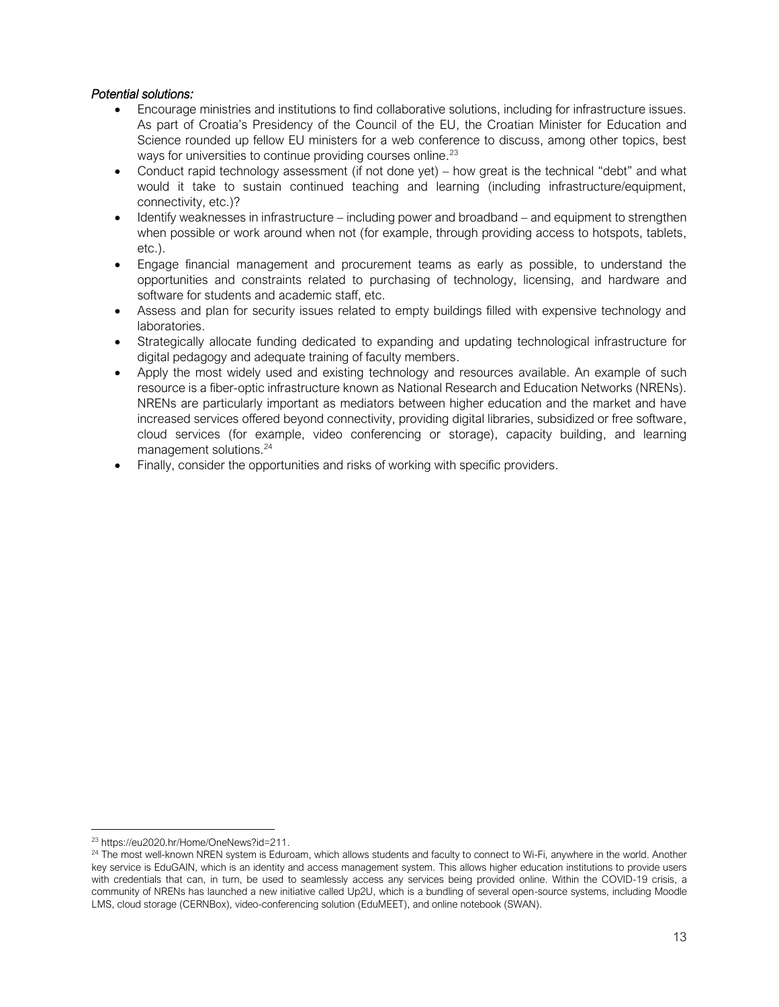# *Potential solutions:*

- Encourage ministries and institutions to find collaborative solutions, including for infrastructure issues. As part of Croatia's Presidency of the Council of the EU, the Croatian Minister for Education and Science rounded up fellow EU ministers for a web conference to discuss, among other topics, best ways for universities to continue providing courses online.<sup>23</sup>
- Conduct rapid technology assessment (if not done yet) how great is the technical "debt" and what would it take to sustain continued teaching and learning (including infrastructure/equipment, connectivity, etc.)?
- Identify weaknesses in infrastructure including power and broadband and equipment to strengthen when possible or work around when not (for example, through providing access to hotspots, tablets, etc.).
- Engage financial management and procurement teams as early as possible, to understand the opportunities and constraints related to purchasing of technology, licensing, and hardware and software for students and academic staff, etc.
- Assess and plan for security issues related to empty buildings filled with expensive technology and laboratories.
- Strategically allocate funding dedicated to expanding and updating technological infrastructure for digital pedagogy and adequate training of faculty members.
- Apply the most widely used and existing technology and resources available. An example of such resource is a fiber-optic infrastructure known as National Research and Education Networks (NRENs). NRENs are particularly important as mediators between higher education and the market and have increased services offered beyond connectivity, providing digital libraries, subsidized or free software, cloud services (for example, video conferencing or storage), capacity building, and learning management solutions.<sup>24</sup>
- Finally, consider the opportunities and risks of working with specific providers.

<sup>23</sup> [https://eu2020.hr/Home/OneNews?id=211.](https://eu2020.hr/Home/OneNews?id=211)

<sup>&</sup>lt;sup>24</sup> The most well-known NREN system is Eduroam, which allows students and faculty to connect to Wi-Fi, anywhere in the world. Another key service is EduGAIN, which is an identity and access management system. This allows higher education institutions to provide users with credentials that can, in turn, be used to seamlessly access any services being provided online. Within the COVID-19 crisis, a community of NRENs has launched a new initiative called Up2U, which is a bundling of several open-source systems, including Moodle LMS, cloud storage (CERNBox), video-conferencing solution (EduMEET), and online notebook (SWAN).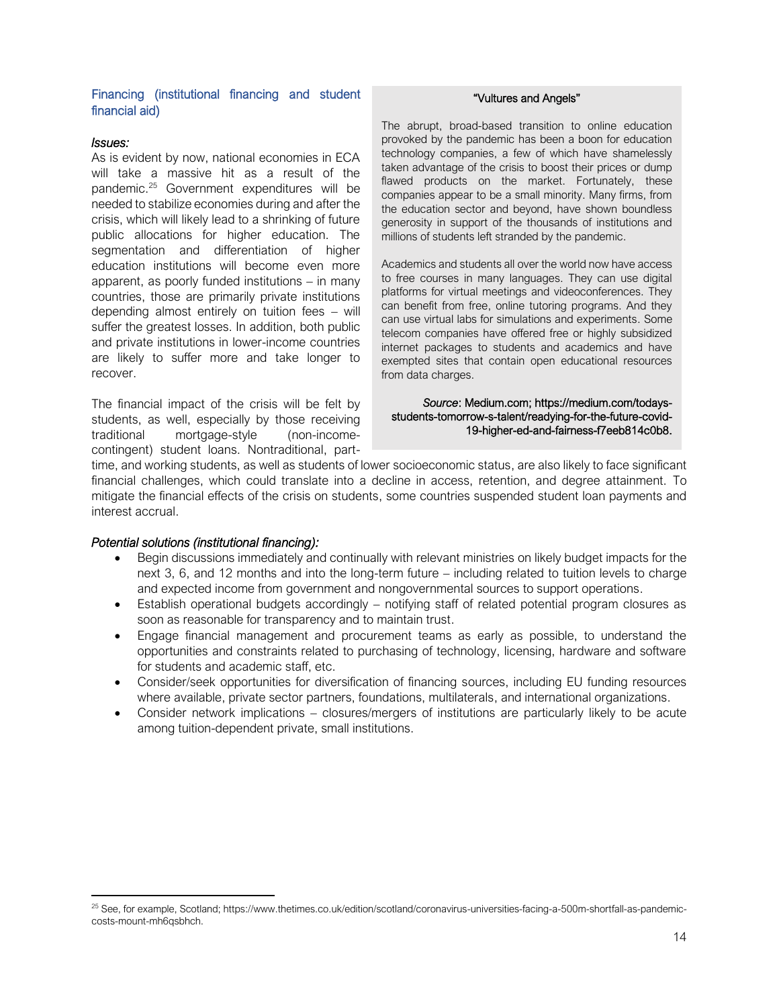### Financing (institutional financing and student financial aid)

#### *Issues:*

As is evident by now, national economies in ECA will take a massive hit as a result of the pandemic.<sup>25</sup> Government expenditures will be needed to stabilize economies during and after the crisis, which will likely lead to a shrinking of future public allocations for higher education. The segmentation and differentiation of higher education institutions will become even more apparent, as poorly funded institutions – in many countries, those are primarily private institutions depending almost entirely on tuition fees – will suffer the greatest losses. In addition, both public and private institutions in lower-income countries are likely to suffer more and take longer to recover.

The financial impact of the crisis will be felt by students, as well, especially by those receiving traditional mortgage-style (non-incomecontingent) student loans. Nontraditional, part-

#### "Vultures and Angels"

The abrupt, broad-based transition to online education provoked by the pandemic has been a boon for education technology companies, a few of which have shamelessly taken advantage of the crisis to boost their prices or dump flawed products on the market. Fortunately, these companies appear to be a small minority. Many firms, from the education sector and beyond, have shown boundless generosity in support of the thousands of institutions and millions of students left stranded by the pandemic.

Academics and students all over the world now have access to free courses in many languages. They can use digital platforms for virtual meetings and videoconferences. They can benefit from free, online tutoring programs. And they can use virtual labs for simulations and experiments. Some telecom companies have offered free or highly subsidized internet packages to students and academics and have exempted sites that contain open educational resources from data charges.

#### *Source*: Medium.com; https://medium.com/todaysstudents-tomorrow-s-talent/readying-for-the-future-covid-19-higher-ed-and-fairness-f7eeb814c0b8.

time, and working students, as well as students of lower socioeconomic status, are also likely to face significant financial challenges, which could translate into a decline in access, retention, and degree attainment. To mitigate the financial effects of the crisis on students, some countries suspended student loan payments and interest accrual.

#### *Potential solutions (institutional financing):*

- Begin discussions immediately and continually with relevant ministries on likely budget impacts for the next 3, 6, and 12 months and into the long-term future – including related to tuition levels to charge and expected income from government and nongovernmental sources to support operations.
- Establish operational budgets accordingly notifying staff of related potential program closures as soon as reasonable for transparency and to maintain trust.
- Engage financial management and procurement teams as early as possible, to understand the opportunities and constraints related to purchasing of technology, licensing, hardware and software for students and academic staff, etc.
- Consider/seek opportunities for diversification of financing sources, including EU funding resources where available, private sector partners, foundations, multilaterals, and international organizations.
- Consider network implications closures/mergers of institutions are particularly likely to be acute among tuition-dependent private, small institutions.

<sup>25</sup> See, for example, Scotland[; https://www.thetimes.co.uk/edition/scotland/coronavirus-universities-facing-a-500m-shortfall-as-pandemic](https://www.thetimes.co.uk/edition/scotland/coronavirus-universities-facing-a-500m-shortfall-as-pandemic-costs-mount-mh6qsbhch)[costs-mount-mh6qsbhch.](https://www.thetimes.co.uk/edition/scotland/coronavirus-universities-facing-a-500m-shortfall-as-pandemic-costs-mount-mh6qsbhch)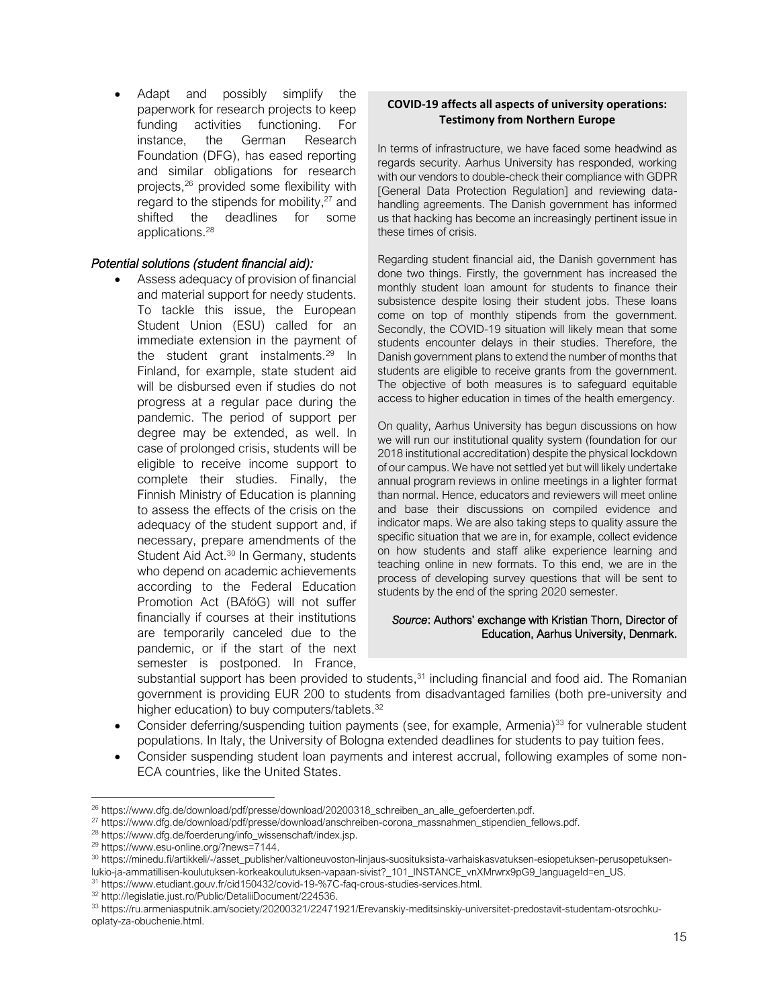Adapt and possibly simplify the paperwork for research projects to keep funding activities functioning. For instance, the German Research Foundation (DFG), has eased reporting and similar obligations for research projects, <sup>26</sup> provided some flexibility with regard to the stipends for mobility, $27$  and shifted the deadlines for some applications. 28

# *Potential solutions (student financial aid):*

• Assess adequacy of provision of financial and material support for needy students. To tackle this issue, the European Student Union (ESU) called for an immediate extension in the payment of the student grant instalments. $29$  In Finland, for example, state student aid will be disbursed even if studies do not progress at a regular pace during the pandemic. The period of support per degree may be extended, as well. In case of prolonged crisis, students will be eligible to receive income support to complete their studies. Finally, the Finnish Ministry of Education is planning to assess the effects of the crisis on the adequacy of the student support and, if necessary, prepare amendments of the Student Aid Act.<sup>30</sup> In Germany, students who depend on academic achievements according to the Federal Education Promotion Act (BAföG) will not suffer financially if courses at their institutions are temporarily canceled due to the pandemic, or if the start of the next semester is postponed. In France,

# **COVID-19 affects all aspects of university operations: Testimony from Northern Europe**

In terms of infrastructure, we have faced some headwind as regards security. Aarhus University has responded, working with our vendors to double-check their compliance with GDPR [General Data Protection Regulation] and reviewing datahandling agreements. The Danish government has informed us that hacking has become an increasingly pertinent issue in these times of crisis.

Regarding student financial aid, the Danish government has done two things. Firstly, the government has increased the monthly student loan amount for students to finance their subsistence despite losing their student jobs. These loans come on top of monthly stipends from the government. Secondly, the COVID-19 situation will likely mean that some students encounter delays in their studies. Therefore, the Danish government plans to extend the number of months that students are eligible to receive grants from the government. The objective of both measures is to safeguard equitable access to higher education in times of the health emergency.

On quality, Aarhus University has begun discussions on how we will run our institutional quality system (foundation for our 2018 institutional accreditation) despite the physical lockdown of our campus. We have not settled yet but will likely undertake annual program reviews in online meetings in a lighter format than normal. Hence, educators and reviewers will meet online and base their discussions on compiled evidence and indicator maps. We are also taking steps to quality assure the specific situation that we are in, for example, collect evidence on how students and staff alike experience learning and teaching online in new formats. To this end, we are in the process of developing survey questions that will be sent to students by the end of the spring 2020 semester.

#### *Source*: Authors' exchange with Kristian Thorn, Director of Education, Aarhus University, Denmark.

substantial support has been provided to students,<sup>31</sup> including financial and food aid. The Romanian government is providing EUR 200 to students from disadvantaged families (both pre-university and higher education) to buy computers/tablets.<sup>32</sup>

- Consider deferring/suspending tuition payments (see, for example, Armenia)<sup>33</sup> for vulnerable student populations. In Italy, the University of Bologna extended deadlines for students to pay tuition fees.
- Consider suspending student loan payments and interest accrual, following examples of some non-ECA countries, like the United States.

<sup>&</sup>lt;sup>26</sup> [https://www.dfg.de/download/pdf/presse/download/20200318\\_schreiben\\_an\\_alle\\_gefoerderten.pdf.](https://www.dfg.de/download/pdf/presse/download/20200318_schreiben_an_alle_gefoerderten.pdf)

<sup>27</sup> https://www.dfg.de/download/pdf/presse/download/anschreiben-corona\_massnahmen\_stipendien\_fellows.pdf.

<sup>28</sup> [https://www.dfg.de/foerderung/info\\_wissenschaft/index.jsp.](https://www.dfg.de/foerderung/info_wissenschaft/index.jsp)

<sup>29</sup> [https://www.esu-online.org/?news=7144.](https://www.esu-online.org/?news=7144)

<sup>30</sup> [https://minedu.fi/artikkeli/-/asset\\_publisher/valtioneuvoston-linjaus-suosituksista-varhaiskasvatuksen-esiopetuksen-perusopetuksen](https://minedu.fi/artikkeli/-/asset_publisher/valtioneuvoston-linjaus-suosituksista-varhaiskasvatuksen-esiopetuksen-perusopetuksen-lukio-ja-ammatillisen-koulutuksen-korkeakoulutuksen-vapaan-sivist?_101_INSTANCE_vnXMrwrx9pG9_languageId=en_US)[lukio-ja-ammatillisen-koulutuksen-korkeakoulutuksen-vapaan-sivist?\\_101\\_INSTANCE\\_vnXMrwrx9pG9\\_languageId=en\\_US.](https://minedu.fi/artikkeli/-/asset_publisher/valtioneuvoston-linjaus-suosituksista-varhaiskasvatuksen-esiopetuksen-perusopetuksen-lukio-ja-ammatillisen-koulutuksen-korkeakoulutuksen-vapaan-sivist?_101_INSTANCE_vnXMrwrx9pG9_languageId=en_US)

<sup>31</sup> [https://www.etudiant.gouv.fr/cid150432/covid-19-%7C-faq-crous-studies-services.html.](https://www.etudiant.gouv.fr/cid150432/covid-19-%7C-faq-crous-studies-services.html)

<sup>32</sup> [http://legislatie.just.ro/Public/DetaliiDocument/224536.](http://legislatie.just.ro/Public/DetaliiDocument/224536)

<sup>33</sup> [https://ru.armeniasputnik.am/society/20200321/22471921/Erevanskiy-meditsinskiy-universitet-predostavit-studentam-otsrochku](https://ru.armeniasputnik.am/society/20200321/22471921/Erevanskiy-meditsinskiy-universitet-predostavit-studentam-otsrochku-oplaty-za-obuchenie.html)[oplaty-za-obuchenie.html.](https://ru.armeniasputnik.am/society/20200321/22471921/Erevanskiy-meditsinskiy-universitet-predostavit-studentam-otsrochku-oplaty-za-obuchenie.html)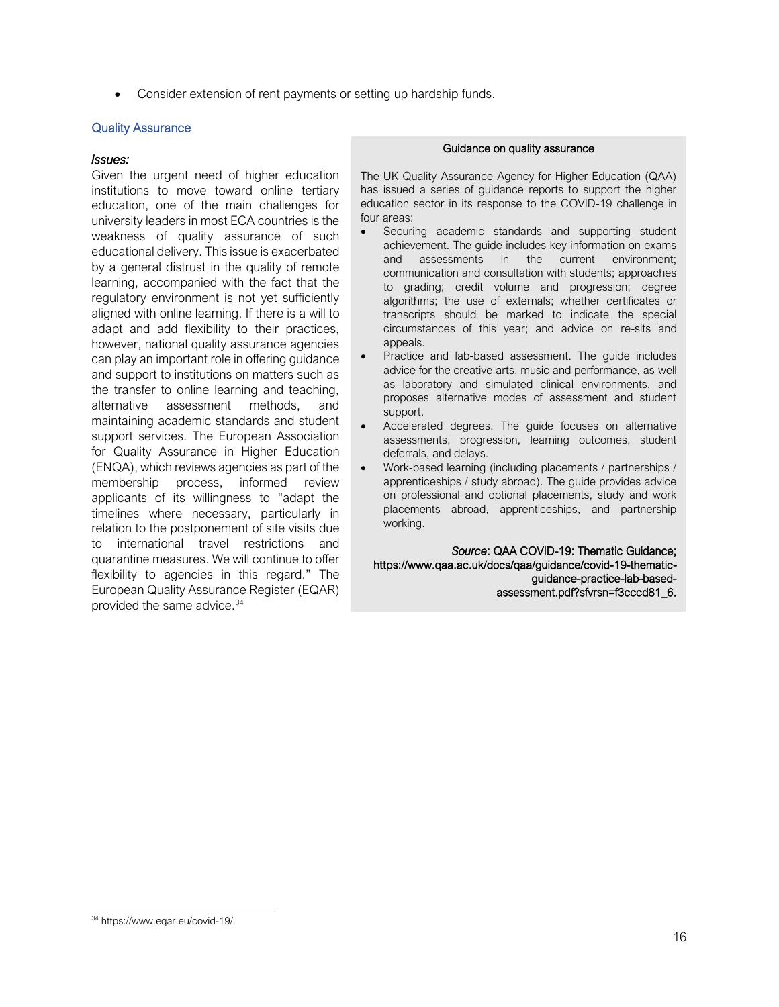• Consider extension of rent payments or setting up hardship funds.

#### Quality Assurance

#### *Issues:*

Given the urgent need of higher education institutions to move toward online tertiary education, one of the main challenges for university leaders in most ECA countries is the weakness of quality assurance of such educational delivery. This issue is exacerbated by a general distrust in the quality of remote learning, accompanied with the fact that the regulatory environment is not yet sufficiently aligned with online learning. If there is a will to adapt and add flexibility to their practices, however, national quality assurance agencies can play an important role in offering guidance and support to institutions on matters such as the transfer to online learning and teaching, alternative assessment methods, and maintaining academic standards and student support services. The European Association for Quality Assurance in Higher Education (ENQA), which reviews agencies as part of the membership process, informed review applicants of its willingness to "adapt the timelines where necessary, particularly in relation to the postponement of site visits due to international travel restrictions and quarantine measures. We will continue to offer flexibility to agencies in this regard." The European Quality Assurance Register (EQAR) provided the same advice.<sup>34</sup>

#### Guidance on quality assurance

The UK Quality Assurance Agency for Higher Education (QAA) has issued a series of guidance reports to support the higher education sector in its response to the COVID-19 challenge in four areas:

- Securing academic standards and supporting student achievement. The guide includes key information on exams and assessments in the current environment; communication and consultation with students; approaches to grading; credit volume and progression; degree algorithms; the use of externals; whether certificates or transcripts should be marked to indicate the special circumstances of this year; and advice on re-sits and appeals.
- Practice and lab-based assessment. The guide includes advice for the creative arts, music and performance, as well as laboratory and simulated clinical environments, and proposes alternative modes of assessment and student support.
- Accelerated degrees. The guide focuses on alternative assessments, progression, learning outcomes, student deferrals, and delays.
- Work-based learning (including placements / partnerships / apprenticeships / study abroad). The guide provides advice on professional and optional placements, study and work placements abroad, apprenticeships, and partnership working.

*Source*: QAA COVID-19: Thematic Guidance; https://www.qaa.ac.uk/docs/qaa/guidance/covid-19-thematicguidance-practice-lab-basedassessment.pdf?sfvrsn=f3cccd81\_6.

<sup>34</sup> https://www.eqar.eu/covid-19/.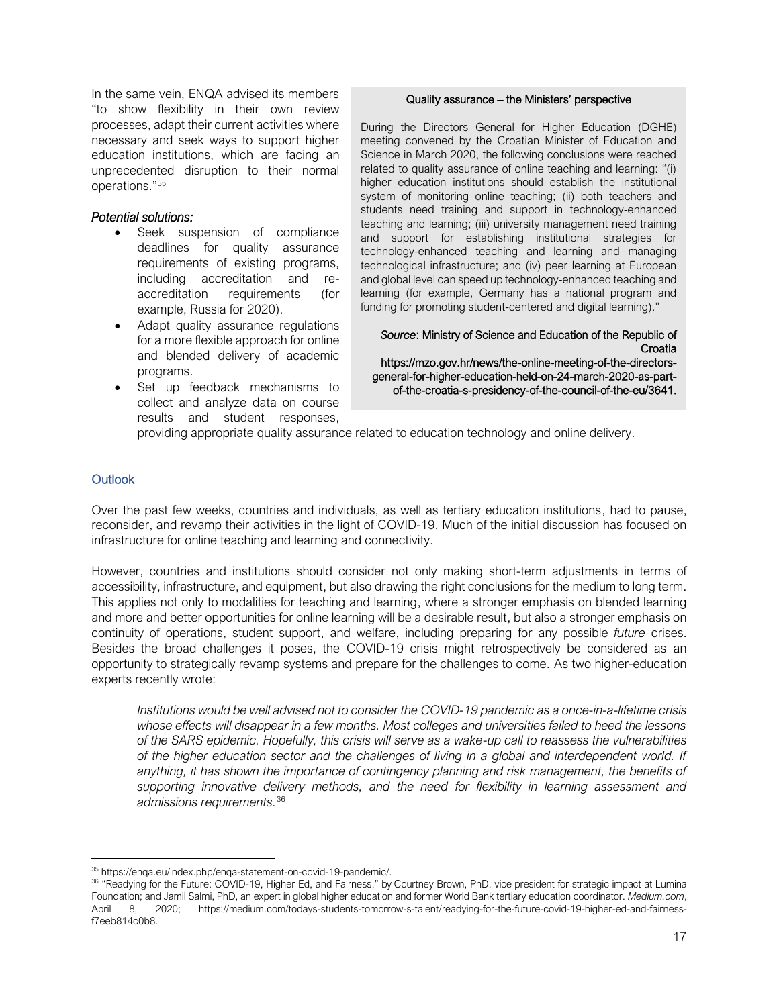In the same vein, ENQA advised its members "to show flexibility in their own review processes, adapt their current activities where necessary and seek ways to support higher education institutions, which are facing an unprecedented disruption to their normal operations."<sup>35</sup>

#### *Potential solutions:*

- Seek suspension of compliance deadlines for quality assurance requirements of existing programs, including accreditation and reaccreditation requirements (for example, Russia for 2020).
- Adapt quality assurance regulations for a more flexible approach for online and blended delivery of academic programs.
- Set up feedback mechanisms to collect and analyze data on course results and student responses,

#### Quality assurance – the Ministers' perspective

During the Directors General for Higher Education (DGHE) meeting convened by the Croatian Minister of Education and Science in March 2020, the following conclusions were reached related to quality assurance of online teaching and learning: "(i) higher education institutions should establish the institutional system of monitoring online teaching; (ii) both teachers and students need training and support in technology-enhanced teaching and learning; (iii) university management need training and support for establishing institutional strategies for technology-enhanced teaching and learning and managing technological infrastructure; and (iv) peer learning at European and global level can speed up technology-enhanced teaching and learning (for example, Germany has a national program and funding for promoting student-centered and digital learning)."

*Source*: Ministry of Science and Education of the Republic of **Croatia** 

https://mzo.gov.hr/news/the-online-meeting-of-the-directorsgeneral-for-higher-education-held-on-24-march-2020-as-partof-the-croatia-s-presidency-of-the-council-of-the-eu/3641.

providing appropriate quality assurance related to education technology and online delivery.

#### <span id="page-16-0"></span>**Outlook**

Over the past few weeks, countries and individuals, as well as tertiary education institutions, had to pause, reconsider, and revamp their activities in the light of COVID-19. Much of the initial discussion has focused on infrastructure for online teaching and learning and connectivity.

However, countries and institutions should consider not only making short-term adjustments in terms of accessibility, infrastructure, and equipment, but also drawing the right conclusions for the medium to long term. This applies not only to modalities for teaching and learning, where a stronger emphasis on blended learning and more and better opportunities for online learning will be a desirable result, but also a stronger emphasis on continuity of operations, student support, and welfare, including preparing for any possible *future* crises. Besides the broad challenges it poses, the COVID-19 crisis might retrospectively be considered as an opportunity to strategically revamp systems and prepare for the challenges to come. As two higher-education experts recently wrote:

*Institutions would be well advised not to consider the COVID-19 pandemic as a once-in-a-lifetime crisis whose effects will disappear in a few months. Most colleges and universities failed to heed the lessons of the SARS epidemic. Hopefully, this crisis will serve as a wake-up call to reassess the vulnerabilities of the higher education sector and the challenges of living in a global and interdependent world. If*  anything, it has shown the importance of contingency planning and risk management, the benefits of *supporting innovative delivery methods, and the need for flexibility in learning assessment and admissions requirements.*<sup>36</sup>

<sup>35</sup> [https://enqa.eu/index.php/enqa-statement-on-covid-19-pandemic/.](https://enqa.eu/index.php/enqa-statement-on-covid-19-pandemic/)

<sup>&</sup>lt;sup>36</sup> "Readying for the Future: COVID-19, Higher Ed, and Fairness," b[y Courtney Brown, PhD,](https://luminafoundation.org/person/courtney-brown/) vice president for strategic impact at Lumina Foundation; an[d Jamil Salmi, PhD,](https://www.insidehighered.com/users/jamil-salmi) an expert in global higher education and former World Bank tertiary education coordinator. *Medium.com*, April 8, 2020; [https://medium.com/todays-students-tomorrow-s-talent/readying-for-the-future-covid-19-higher-ed-and-fairness](https://medium.com/todays-students-tomorrow-s-talent/readying-for-the-future-covid-19-higher-ed-and-fairness-f7eeb814c0b8)[f7eeb814c0b8.](https://medium.com/todays-students-tomorrow-s-talent/readying-for-the-future-covid-19-higher-ed-and-fairness-f7eeb814c0b8)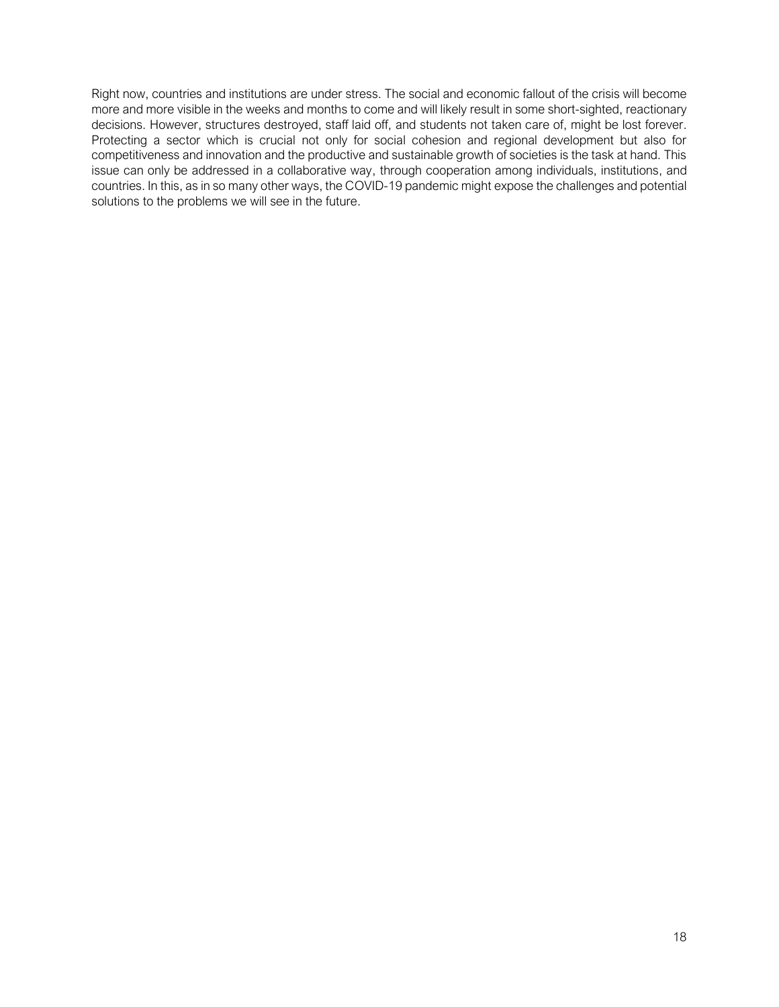<span id="page-17-0"></span>Right now, countries and institutions are under stress. The social and economic fallout of the crisis will become more and more visible in the weeks and months to come and will likely result in some short-sighted, reactionary decisions. However, structures destroyed, staff laid off, and students not taken care of, might be lost forever. Protecting a sector which is crucial not only for social cohesion and regional development but also for competitiveness and innovation and the productive and sustainable growth of societies is the task at hand. This issue can only be addressed in a collaborative way, through cooperation among individuals, institutions, and countries. In this, as in so many other ways, the COVID-19 pandemic might expose the challenges and potential solutions to the problems we will see in the future.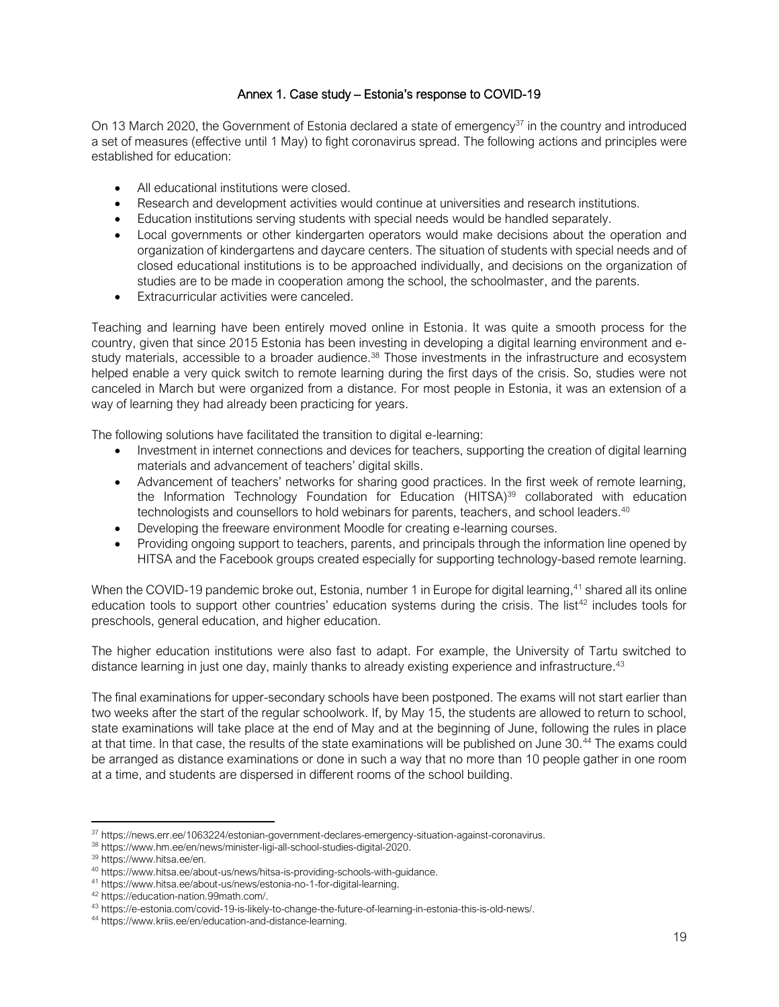# Annex 1. Case study – Estonia's response to COVID-19

<span id="page-18-0"></span>On 13 March 2020, the Government of Estonia declared a state of emergency<sup>37</sup> in the country and introduced a set of measures (effective until 1 May) to fight coronavirus spread. The following actions and principles were established for education:

- All educational institutions were closed.
- Research and development activities would continue at universities and research institutions.
- Education institutions serving students with special needs would be handled separately.
- Local governments or other kindergarten operators would make decisions about the operation and organization of kindergartens and daycare centers. The situation of students with special needs and of closed educational institutions is to be approached individually, and decisions on the organization of studies are to be made in cooperation among the school, the schoolmaster, and the parents.
- Extracurricular activities were canceled.

Teaching and learning have been entirely moved online in Estonia. It was quite a smooth process for the country, given that since 2015 Estonia has been investing in developing a digital learning environment and estudy materials, accessible to a broader audience.<sup>38</sup> Those investments in the infrastructure and ecosystem helped enable a very quick switch to remote learning during the first days of the crisis. So, studies were not canceled in March but were organized from a distance. For most people in Estonia, it was an extension of a way of learning they had already been practicing for years.

The following solutions have facilitated the transition to digital e-learning:

- Investment in internet connections and devices for teachers, supporting the creation of digital learning materials and advancement of teachers' digital skills.
- Advancement of teachers' networks for sharing good practices. In the first week of remote learning, the Information Technology Foundation for Education (HITSA)<sup>39</sup> collaborated with education technologists and counsellors to hold webinars for parents, teachers, and school leaders. 40
- Developing the freeware environment Moodle for creating e-learning courses.
- Providing ongoing support to teachers, parents, and principals through the information line opened by HITSA and the Facebook groups created especially for supporting technology-based remote learning.

When the COVID-19 pandemic broke out, Estonia, number 1 in Europe for digital learning,<sup>41</sup> shared all its online education tools to support other countries' education systems during the crisis. The list<sup>42</sup> includes tools for preschools, general education, and higher education.

The higher education institutions were also fast to adapt. For example, the University of Tartu switched to distance learning in just one day, mainly thanks to already existing experience and infrastructure.<sup>43</sup>

The final examinations for upper-secondary schools have been postponed. The exams will not start earlier than two weeks after the start of the regular schoolwork. If, by May 15, the students are allowed to return to school, state examinations will take place at the end of May and at the beginning of June, following the rules in place at that time. In that case, the results of the state examinations will be published on June 30.<sup>44</sup> The exams could be arranged as distance examinations or done in such a way that no more than 10 people gather in one room at a time, and students are dispersed in different rooms of the school building.

<sup>37</sup> [https://news.err.ee/1063224/estonian-government-declares-emergency-situation-against-coronavirus.](https://news.err.ee/1063224/estonian-government-declares-emergency-situation-against-coronavirus)

<sup>38</sup> [https://www.hm.ee/en/news/minister-ligi-all-school-studies-digital-2020.](https://www.hm.ee/en/news/minister-ligi-all-school-studies-digital-2020)

<sup>39</sup> [https://www.hitsa.ee/en.](https://www.hitsa.ee/en)

<sup>40</sup> [https://www.hitsa.ee/about-us/news/hitsa-is-providing-schools-with-guidance.](https://www.hitsa.ee/about-us/news/hitsa-is-providing-schools-with-guidance)

<sup>41</sup> [https://www.hitsa.ee/about-us/news/estonia-no-1-for-digital-learning.](https://www.hitsa.ee/about-us/news/estonia-no-1-for-digital-learning)

<sup>42</sup> [https://education-nation.99math.com/.](https://education-nation.99math.com/)

<sup>43</sup> [https://e-estonia.com/covid-19-is-likely-to-change-the-future-of-learning-in-estonia-this-is-old-news/.](https://e-estonia.com/covid-19-is-likely-to-change-the-future-of-learning-in-estonia-this-is-old-news/)

<sup>44</sup> [https://www.kriis.ee/en/education-and-distance-learning.](https://www.kriis.ee/en/education-and-distance-learning)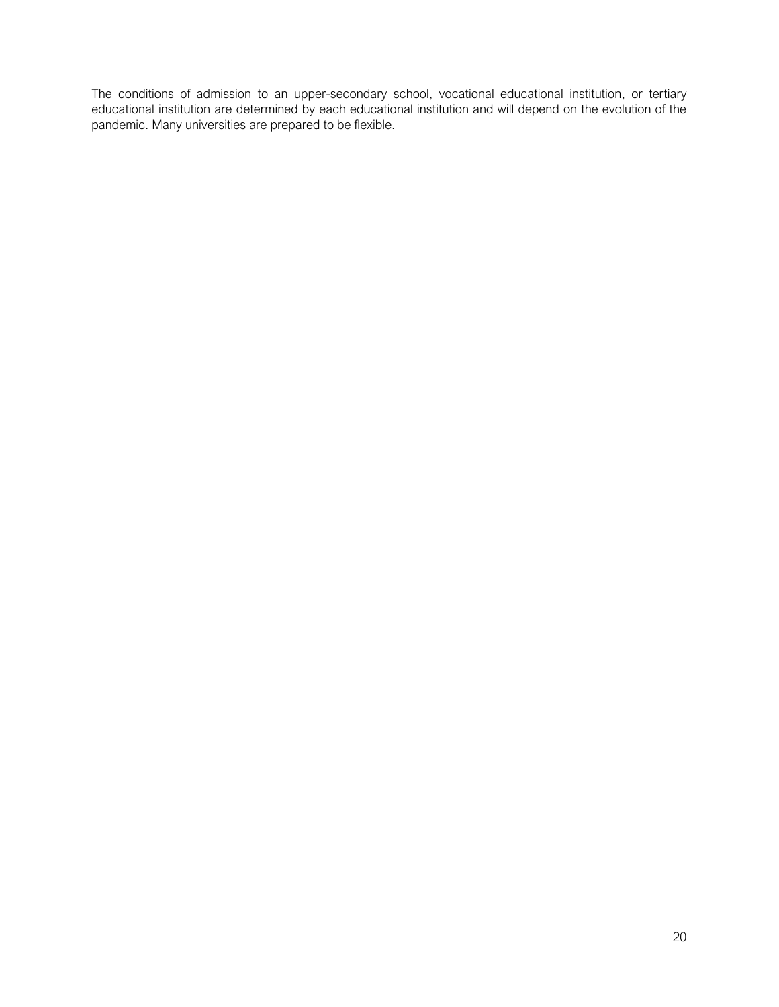<span id="page-19-0"></span>The conditions of admission to an upper-secondary school, vocational educational institution, or tertiary educational institution are determined by each educational institution and will depend on the evolution of the pandemic. Many universities are prepared to be flexible.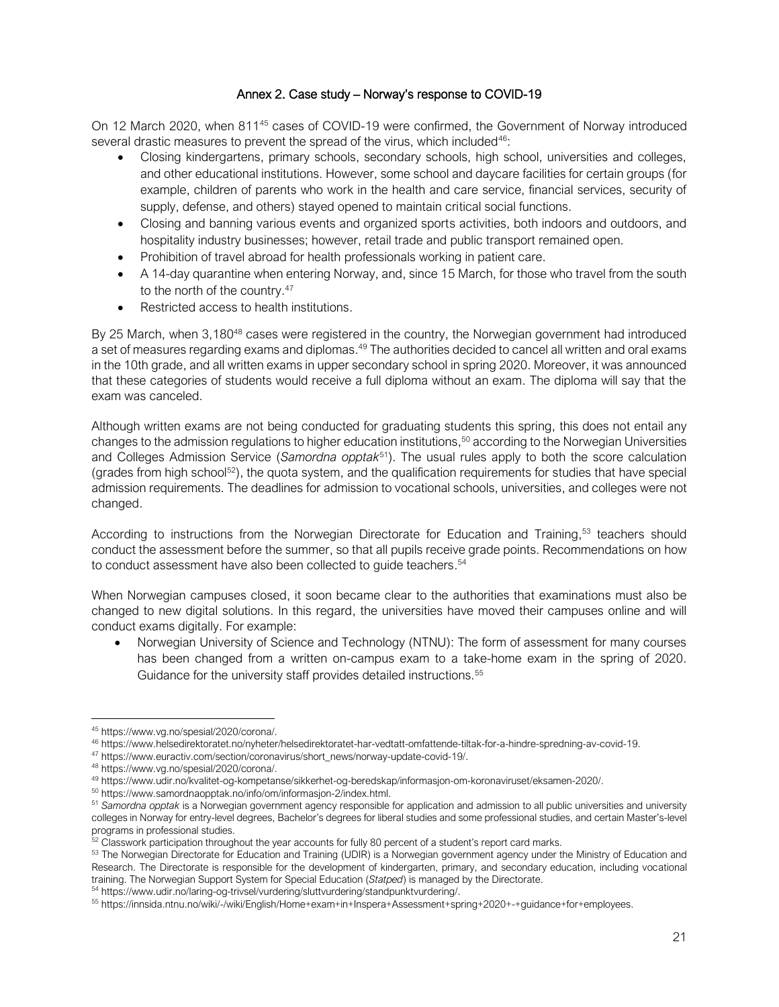# Annex 2. Case study – Norway's response to COVID-19

On 12 March 2020, when 811<sup>45</sup> cases of COVID-19 were confirmed, the Government of Norway introduced several drastic measures to prevent the spread of the virus, which included<sup>46</sup>:

- Closing kindergartens, primary schools, secondary schools, high school, universities and colleges, and other educational institutions. However, some school and daycare facilities for certain groups (for example, children of parents who work in the health and care service, financial services, security of supply, defense, and others) stayed opened to maintain critical social functions.
- Closing and banning various events and organized sports activities, both indoors and outdoors, and hospitality industry businesses; however, retail trade and public transport remained open.
- Prohibition of travel abroad for health professionals working in patient care.
- A 14-day quarantine when entering Norway, and, since 15 March, for those who travel from the south to the north of the country.<sup>47</sup>
- Restricted access to health institutions.

By 25 March, when 3,180<sup>48</sup> cases were registered in the country, the Norwegian government had introduced a set of measures regarding exams and diplomas.<sup>49</sup> The authorities decided to cancel all written and oral exams in the 10th grade, and all written exams in upper secondary school in spring 2020. Moreover, it was announced that these categories of students would receive a full diploma without an exam. The diploma will say that the exam was canceled.

Although written exams are not being conducted for graduating students this spring, this does not entail any changes to the admission regulations to higher education institutions, <sup>50</sup> according to the Norwegian Universities and Colleges Admission Service (*Samordna opptak*<sup>51</sup>). The usual rules apply to both the score calculation (grades from high school<sup>52</sup>), the quota system, and the qualification requirements for studies that have special admission requirements. The deadlines for admission to vocational schools, universities, and colleges were not changed.

According to instructions from the Norwegian Directorate for Education and Training,<sup>53</sup> teachers should conduct the assessment before the summer, so that all pupils receive grade points. Recommendations on how to conduct assessment have also been collected to guide teachers.<sup>54</sup>

When Norwegian campuses closed, it soon became clear to the authorities that examinations must also be changed to new digital solutions. In this regard, the universities have moved their campuses online and will conduct exams digitally. For example:

• Norwegian University of Science and Technology (NTNU): The form of assessment for many courses has been changed from a written on-campus exam to a take-home exam in the spring of 2020. Guidance for the university staff provides detailed instructions.<sup>55</sup>

<sup>45</sup> [https://www.vg.no/spesial/2020/corona/.](https://www.vg.no/spesial/2020/corona/)

<sup>46</sup> [https://www.helsedirektoratet.no/nyheter/helsedirektoratet-har-vedtatt-omfattende-tiltak-for-a-hindre-spredning-av-covid-19.](https://www.helsedirektoratet.no/nyheter/helsedirektoratet-har-vedtatt-omfattende-tiltak-for-a-hindre-spredning-av-covid-19)

<sup>47</sup> [https://www.euractiv.com/section/coronavirus/short\\_news/norway-update-covid-19/.](https://www.euractiv.com/section/coronavirus/short_news/norway-update-covid-19/)

<sup>48</sup> [https://www.vg.no/spesial/2020/corona/.](https://www.vg.no/spesial/2020/corona/)

<sup>49</sup> [https://www.udir.no/kvalitet-og-kompetanse/sikkerhet-og-beredskap/informasjon-om-koronaviruset/eksamen-2020/.](https://www.udir.no/kvalitet-og-kompetanse/sikkerhet-og-beredskap/informasjon-om-koronaviruset/eksamen-2020/)

<sup>50</sup> [https://www.samordnaopptak.no/info/om/informasjon-2/index.html.](https://www.samordnaopptak.no/info/om/informasjon-2/index.html)

<sup>&</sup>lt;sup>51</sup> Samordna opptak is a Norwegian government agency responsible for application and admission to all public universities and university colleges in Norway for entry-level degrees, Bachelor's degrees for liberal studies and some professional studies, and certain Master's-level programs in professional studies.

 $52$  Classwork participation throughout the year accounts for fully 80 percent of a student's report card marks.

<sup>53</sup> The Norwegian Directorate for Education and Training (UDIR) is a Norwegian government agency under the Ministry of Education and Research. The Directorate is responsible for the development of kindergarten, primary, and secondary education, including vocational training. The Norwegian Support System for Special Education (*Statped*) is managed by the Directorate.

<sup>54</sup> [https://www.udir.no/laring-og-trivsel/vurdering/sluttvurdering/standpunktvurdering/.](https://www.udir.no/laring-og-trivsel/vurdering/sluttvurdering/standpunktvurdering/)

<sup>55</sup> [https://innsida.ntnu.no/wiki/-/wiki/English/Home+exam+in+Inspera+Assessment+spring+2020+-+guidance+for+employees.](https://innsida.ntnu.no/wiki/-/wiki/English/Home+exam+in+Inspera+Assessment+spring+2020+-+guidance+for+employees)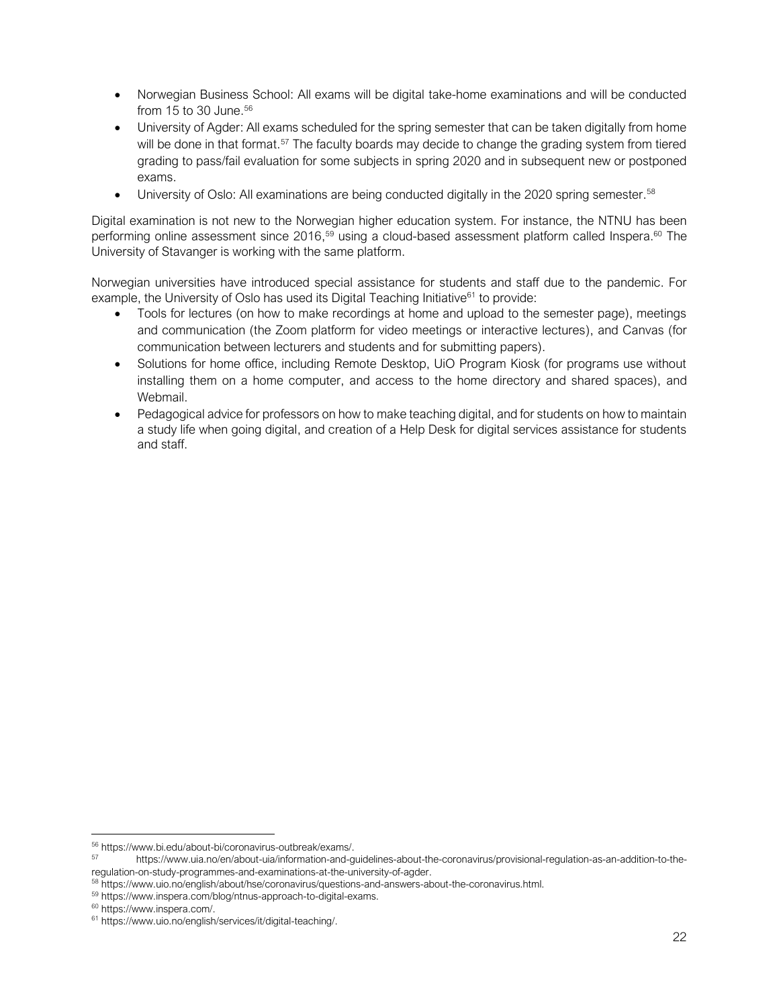- Norwegian Business School: All exams will be digital take-home examinations and will be conducted from 15 to 30 June. 56
- University of Agder: All exams scheduled for the spring semester that can be taken digitally from home will be done in that format.<sup>57</sup> The faculty boards may decide to change the grading system from tiered grading to pass/fail evaluation for some subjects in spring 2020 and in subsequent new or postponed exams.
- University of Oslo: All examinations are being conducted digitally in the 2020 spring semester.<sup>58</sup>

Digital examination is not new to the Norwegian higher education system. For instance, the NTNU has been performing online assessment since 2016,<sup>59</sup> using a cloud-based assessment platform called Inspera.<sup>60</sup> The University of Stavanger is working with the same platform.

Norwegian universities have introduced special assistance for students and staff due to the pandemic. For example, the University of Oslo has used its Digital Teaching Initiative $61$  to provide:

- Tools for lectures (on how to make recordings at home and upload to the semester page), meetings and communication (the Zoom platform for video meetings or interactive lectures), and Canvas (for communication between lecturers and students and for submitting papers).
- Solutions for home office, including Remote Desktop, UiO Program Kiosk (for programs use without installing them on a home computer, and access to the home directory and shared spaces), and Webmail.
- <span id="page-21-0"></span>• Pedagogical advice for professors on how to make teaching digital, and for students on how to maintain a study life when going digital, and creation of a Help Desk for digital services assistance for students and staff.

<sup>56</sup> [https://www.bi.edu/about-bi/coronavirus-outbreak/exams/.](https://www.bi.edu/about-bi/coronavirus-outbreak/exams/)

<sup>57</sup> [https://www.uia.no/en/about-uia/information-and-guidelines-about-the-coronavirus/provisional-regulation-as-an-addition-to-the](https://www.uia.no/en/about-uia/information-and-guidelines-about-the-coronavirus/provisional-regulation-as-an-addition-to-the-regulation-on-study-programmes-and-examinations-at-the-university-of-agder)[regulation-on-study-programmes-and-examinations-at-the-university-of-agder.](https://www.uia.no/en/about-uia/information-and-guidelines-about-the-coronavirus/provisional-regulation-as-an-addition-to-the-regulation-on-study-programmes-and-examinations-at-the-university-of-agder)

<sup>58</sup> [https://www.uio.no/english/about/hse/coronavirus/questions-and-answers-about-the-coronavirus.html.](https://www.uio.no/english/about/hse/coronavirus/questions-and-answers-about-the-coronavirus.html)

<sup>59</sup> [https://www.inspera.com/blog/ntnus-approach-to-digital-exams.](https://www.inspera.com/blog/ntnus-approach-to-digital-exams)

<sup>60</sup> [https://www.inspera.com/.](https://www.inspera.com/)

<sup>61</sup> [https://www.uio.no/english/services/it/digital-teaching/.](https://www.uio.no/english/services/it/digital-teaching/)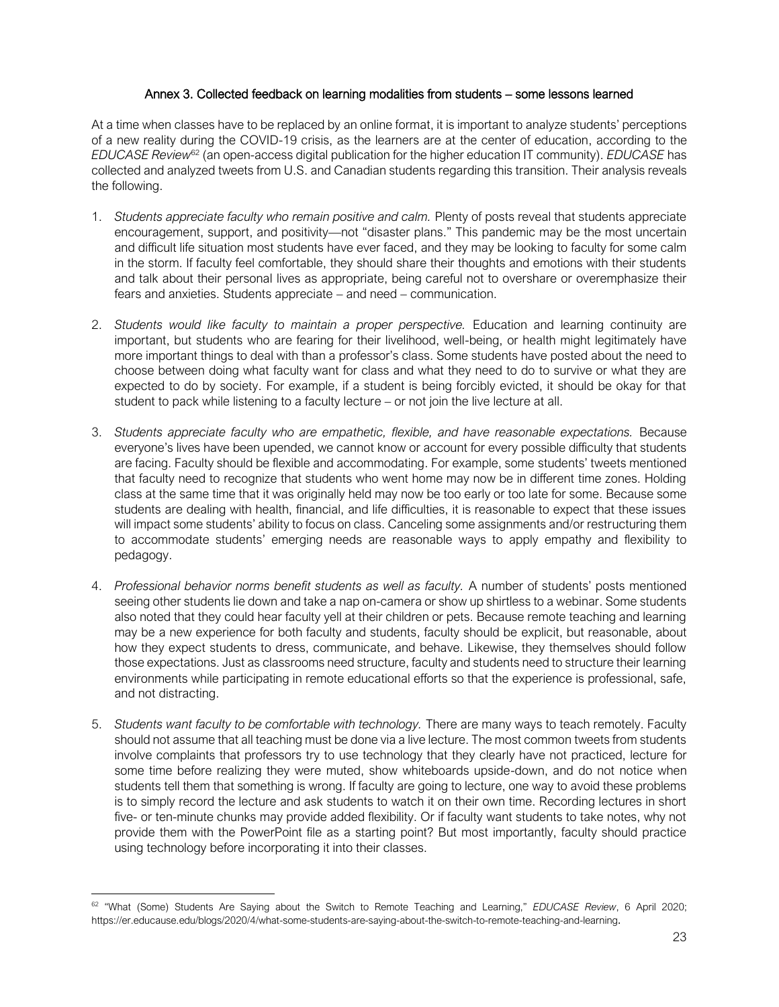# Annex 3. Collected feedback on learning modalities from students – some lessons learned

At a time when classes have to be replaced by an online format, it is important to analyze students' perceptions of a new reality during the COVID-19 crisis, as the learners are at the center of education, according to the *EDUCASE Review*<sup>62</sup> (an open-access digital publication for the higher education IT community). *EDUCASE* has collected and analyzed tweets from U.S. and Canadian students regarding this transition. Their analysis reveals the following.

- 1. *Students appreciate faculty who remain positive and calm.* Plenty of posts reveal that students appreciate encouragement, support, and positivity—not "disaster plans." This pandemic may be the most uncertain and difficult life situation most students have ever faced, and they may be looking to faculty for some calm in the storm. If faculty feel comfortable, they should share their thoughts and emotions with their students and talk about their personal lives as appropriate, being careful not to overshare or overemphasize their fears and anxieties. Students appreciate – and need – communication.
- 2. *Students would like faculty to maintain a proper perspective.* Education and learning continuity are important, but students who are fearing for their livelihood, well-being, or health might legitimately have more important things to deal with than a professor's class. Some students have posted about the need to choose between doing what faculty want for class and what they need to do to survive or what they are expected to do by society. For example, if a student is being forcibly evicted, it should be okay for that student to pack while listening to a faculty lecture – or not join the live lecture at all.
- 3. *Students appreciate faculty who are empathetic, flexible, and have reasonable expectations.* Because everyone's lives have been upended, we cannot know or account for every possible difficulty that students are facing. Faculty should be flexible and accommodating. For example, some students' tweets mentioned that faculty need to recognize that students who went home may now be in different time zones. Holding class at the same time that it was originally held may now be too early or too late for some. Because some students are dealing with health, financial, and life difficulties, it is reasonable to expect that these issues will impact some students' ability to focus on class. Canceling some assignments and/or restructuring them to accommodate students' emerging needs are reasonable ways to apply empathy and flexibility to pedagogy.
- 4. *Professional behavior norms benefit students as well as faculty.* A number of students' posts mentioned seeing other students lie down and take a nap on-camera or show up shirtless to a webinar. Some students also noted that they could hear faculty yell at their children or pets. Because remote teaching and learning may be a new experience for both faculty and students, faculty should be explicit, but reasonable, about how they expect students to dress, communicate, and behave. Likewise, they themselves should follow those expectations. Just as classrooms need structure, faculty and students need to structure their learning environments while participating in remote educational efforts so that the experience is professional, safe, and not distracting.
- 5. *Students want faculty to be comfortable with technology.* There are many ways to teach remotely. Faculty should not assume that all teaching must be done via a live lecture. The most common tweets from students involve complaints that professors try to use technology that they clearly have not practiced, lecture for some time before realizing they were muted, show whiteboards upside-down, and do not notice when students tell them that something is wrong. If faculty are going to lecture, one way to avoid these problems is to simply record the lecture and ask students to watch it on their own time. Recording lectures in short five- or ten-minute chunks may provide added flexibility. Or if faculty want students to take notes, why not provide them with the PowerPoint file as a starting point? But most importantly, faculty should practice using technology before incorporating it into their classes.

<sup>62</sup> "What (Some) Students Are Saying about the Switch to Remote Teaching and Learning," *EDUCASE Review*, 6 April 2020; <https://er.educause.edu/blogs/2020/4/what-some-students-are-saying-about-the-switch-to-remote-teaching-and-learning>.